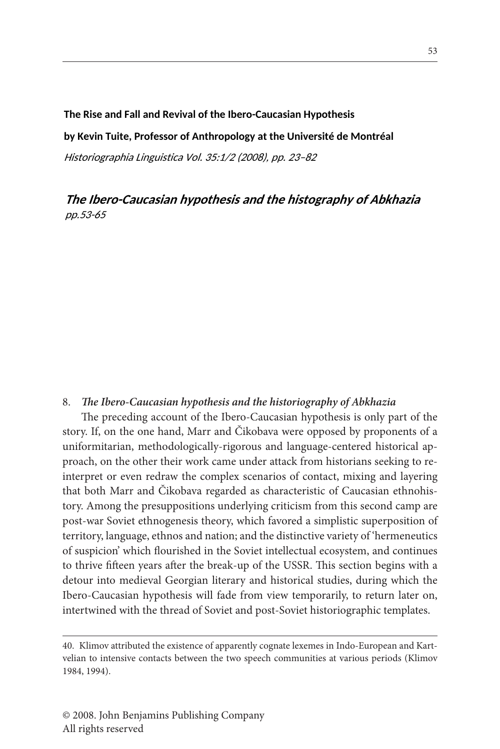hypotheses have a number of adherents among Kartvelists, the Nostratic one has The Rise and Fall and Revival of the Ibero-Caucasian Hypothesis<br>**The Rise and Fall** and Revival of the Ibero-Caucasian Hypothesis

# by Kevin Tuite, Professor of Anthropology at the Université de Montréal

 $r$ Historiographia Linguistica Vol. 35:1/2 (2008), pp. 23–82

#### The Ibero-Caucasian hypothesis and the histography of Abkhazia from the two  $\frac{1}{2}$  from the two  $\frac{1}{2}$  caucasian families. Gamerian families  $\frac{1}{2}$ was mentioned earlier, steered clear of any explicit endorsement of any explicit endorsement of either Nos-Ameri pp.53-65

### 8. *The Ibero-Caucasian hypothesis and the historiography of Abkhazia*

The preceding account of the Ibero-Caucasian hypothesis is only part of the story. If, on the one hand, Marr and Čikobava were opposed by proponents of a uniformitarian, methodologically-rigorous and language-centered historical approach, on the other their work came under attack from historians seeking to reinterpret or even redraw the complex scenarios of contact, mixing and layering that both Marr and Čikobava regarded as characteristic of Caucasian ethnohistory. Among the presuppositions underlying criticism from this second camp are post-war Soviet ethnogenesis theory, which favored a simplistic superposition of territory, language, ethnos and nation; and the distinctive variety of 'hermeneutics of suspicion' which flourished in the Soviet intellectual ecosystem, and continues to thrive fifteen years after the break-up of the USSR. This section begins with a detour into medieval Georgian literary and historical studies, during which the Ibero-Caucasian hypothesis will fade from view temporarily, to return later on, intertwined with the thread of Soviet and post-Soviet historiographic templates.

<sup>40.</sup> Klimov attributed the existence of apparently cognate lexemes in Indo-European and Kartvelian to intensive contacts between the two speech communities at various periods (Klimov 1984, 1994).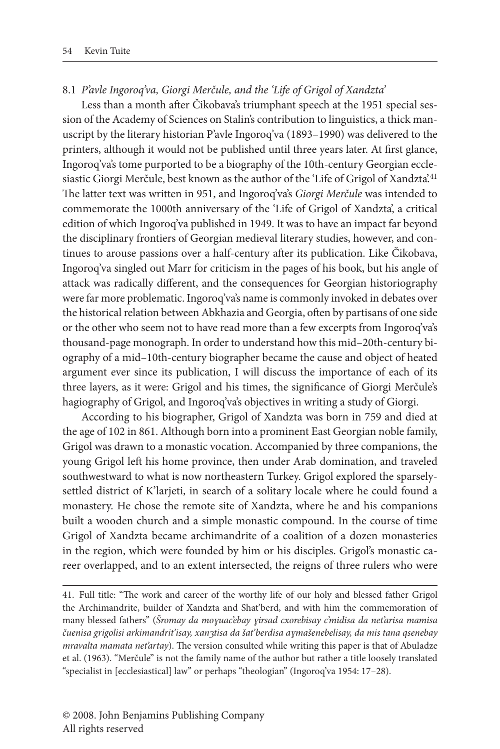# 8.1 *P'avle Ingoroq'va, Giorgi Merčule, and the 'Life of Grigol of Xandzta'*

Less than a month after Čikobava's triumphant speech at the 1951 special session of the Academy of Sciences on Stalin's contribution to linguistics, a thick manuscript by the literary historian P'avle Ingoroq'va (1893–1990) was delivered to the printers, although it would not be published until three years later. At first glance, Ingoroq'va's tome purported to be a biography of the 10th-century Georgian ecclesiastic Giorgi Merčule, best known as the author of the 'Life of Grigol of Xandzta'.<sup>41</sup> The latter text was written in 951, and Ingoroq'va's *Giorgi Merčule* was intended to commemorate the 1000th anniversary of the 'Life of Grigol of Xandzta', a critical edition of which Ingoroq'va published in 1949. It was to have an impact far beyond the disciplinary frontiers of Georgian medieval literary studies, however, and continues to arouse passions over a half-century after its publication. Like Čikobava, Ingoroq'va singled out Marr for criticism in the pages of his book, but his angle of attack was radically different, and the consequences for Georgian historiography were far more problematic. Ingoroq'va's name is commonly invoked in debates over the historical relation between Abkhazia and Georgia, often by partisans of one side or the other who seem not to have read more than a few excerpts from Ingoroq'va's thousand-page monograph. In order to understand how this mid–20th-century biography of a mid–10th-century biographer became the cause and object of heated argument ever since its publication, I will discuss the importance of each of its three layers, as it were: Grigol and his times, the significance of Giorgi Merčule's hagiography of Grigol, and Ingoroq'va's objectives in writing a study of Giorgi.

According to his biographer, Grigol of Xandzta was born in 759 and died at the age of 102 in 861. Although born into a prominent East Georgian noble family, Grigol was drawn to a monastic vocation. Accompanied by three companions, the young Grigol left his home province, then under Arab domination, and traveled southwestward to what is now northeastern Turkey. Grigol explored the sparselysettled district of K'larjeti, in search of a solitary locale where he could found a monastery. He chose the remote site of Xandzta, where he and his companions built a wooden church and a simple monastic compound. In the course of time Grigol of Xandzta became archimandrite of a coalition of a dozen monasteries in the region, which were founded by him or his disciples. Grigol's monastic career overlapped, and to an extent intersected, the reigns of three rulers who were

<sup>41.</sup> Full title: "The work and career of the worthy life of our holy and blessed father Grigol the Archimandrite, builder of Xandzta and Shat'berd, and with him the commemoration of many blessed fathers" (*Šromay da mo>uac'ebay >irsad cxorebisay c'midisa da net'arisa mamisa čuenisa grigolisi arkimandrit'isay, xanŠtisa da šat'berdisa a>mašenebelisay, da mis tana qsenebay mravalta mamata net'artay*). The version consulted while writing this paper is that of Abuladze et al. (1963). "Merčule" is not the family name of the author but rather a title loosely translated "specialist in [ecclesiastical] law" or perhaps "theologian" (Ingoroq'va 1954: 17–28).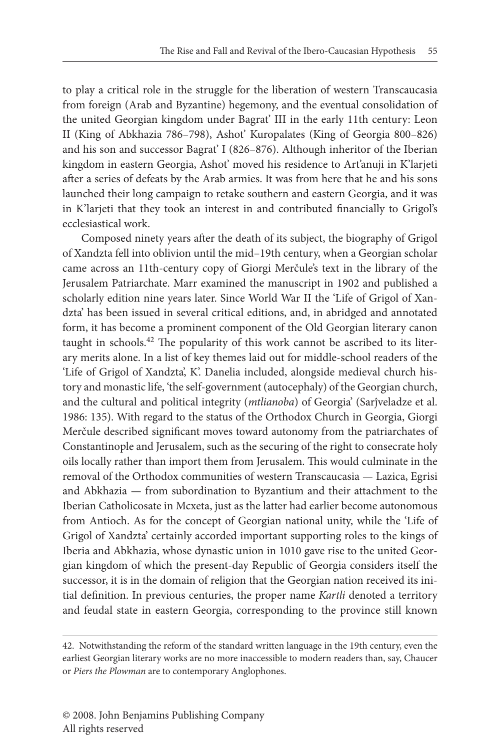to play a critical role in the struggle for the liberation of western Transcaucasia from foreign (Arab and Byzantine) hegemony, and the eventual consolidation of the united Georgian kingdom under Bagrat' III in the early 11th century: Leon II (King of Abkhazia 786–798), Ashot' Kuropalates (King of Georgia 800–826) and his son and successor Bagrat' I (826–876). Although inheritor of the Iberian kingdom in eastern Georgia, Ashot' moved his residence to Art'anuji in K'larjeti after a series of defeats by the Arab armies. It was from here that he and his sons launched their long campaign to retake southern and eastern Georgia, and it was in K'larjeti that they took an interest in and contributed financially to Grigol's ecclesiastical work.

Composed ninety years after the death of its subject, the biography of Grigol of Xandzta fell into oblivion until the mid–19th century, when a Georgian scholar came across an 11th-century copy of Giorgi Merčule's text in the library of the Jerusalem Patriarchate. Marr examined the manuscript in 1902 and published a scholarly edition nine years later. Since World War II the 'Life of Grigol of Xandzta' has been issued in several critical editions, and, in abridged and annotated form, it has become a prominent component of the Old Georgian literary canon taught in schools.42 The popularity of this work cannot be ascribed to its literary merits alone. In a list of key themes laid out for middle-school readers of the 'Life of Grigol of Xandzta', K'. Danelia included, alongside medieval church history and monastic life, 'the self-government (autocephaly) of the Georgian church, and the cultural and political integrity (*mtlianoba*) of Georgia' (Sarĵveladze et al. 1986: 135). With regard to the status of the Orthodox Church in Georgia, Giorgi Merčule described significant moves toward autonomy from the patriarchates of Constantinople and Jerusalem, such as the securing of the right to consecrate holy oils locally rather than import them from Jerusalem. This would culminate in the removal of the Orthodox communities of western Transcaucasia — Lazica, Egrisi and Abkhazia — from subordination to Byzantium and their attachment to the Iberian Catholicosate in Mcxeta, just as the latter had earlier become autonomous from Antioch. As for the concept of Georgian national unity, while the 'Life of Grigol of Xandzta' certainly accorded important supporting roles to the kings of Iberia and Abkhazia, whose dynastic union in 1010 gave rise to the united Georgian kingdom of which the present-day Republic of Georgia considers itself the successor, it is in the domain of religion that the Georgian nation received its initial definition. In previous centuries, the proper name *Kartli* denoted a territory and feudal state in eastern Georgia, corresponding to the province still known

<sup>42.</sup> Notwithstanding the reform of the standard written language in the 19th century, even the earliest Georgian literary works are no more inaccessible to modern readers than, say, Chaucer or *Piers the Plowman* are to contemporary Anglophones.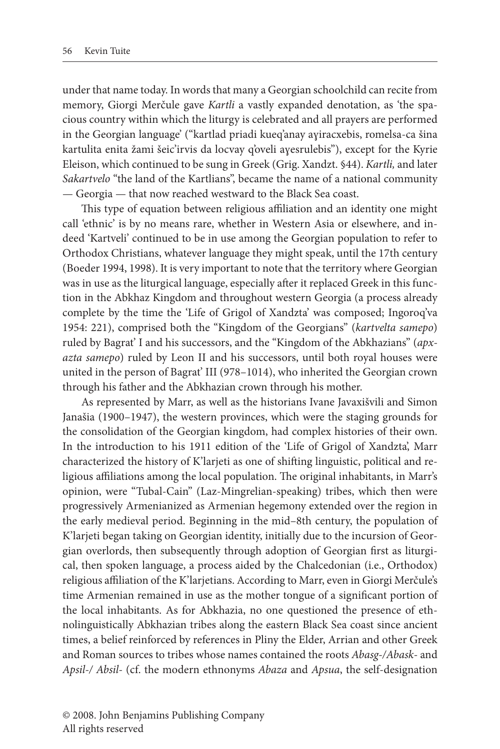under that name today. In words that many a Georgian schoolchild can recite from memory, Giorgi Merčule gave *Kartli* a vastly expanded denotation, as 'the spacious country within which the liturgy is celebrated and all prayers are performed in the Georgian language' ("kartlad priadi kueq'anay ayiracxebis, romelsa-ca šina kartulita enita žami šeic'irvis da locvay q'oveli ayesrulebis"), except for the Kyrie Eleison, which continued to be sung in Greek (Grig. Xandzt. §44). *Kartli,* and later *Sakartvelo* "the land of the Kartlians", became the name of a national community — Georgia — that now reached westward to the Black Sea coast.

This type of equation between religious affiliation and an identity one might call 'ethnic' is by no means rare, whether in Western Asia or elsewhere, and indeed 'Kartveli' continued to be in use among the Georgian population to refer to Orthodox Christians, whatever language they might speak, until the 17th century (Boeder 1994, 1998). It is very important to note that the territory where Georgian was in use as the liturgical language, especially after it replaced Greek in this function in the Abkhaz Kingdom and throughout western Georgia (a process already complete by the time the 'Life of Grigol of Xandzta' was composed; Ingoroq'va 1954: 221), comprised both the "Kingdom of the Georgians" (*kartvelta samepo*) ruled by Bagrat' I and his successors, and the "Kingdom of the Abkhazians" (*apxazta samepo*) ruled by Leon II and his successors, until both royal houses were united in the person of Bagrat' III (978–1014), who inherited the Georgian crown through his father and the Abkhazian crown through his mother.

As represented by Marr, as well as the historians Ivane Javaxišvili and Simon Janašia (1900–1947), the western provinces, which were the staging grounds for the consolidation of the Georgian kingdom, had complex histories of their own. In the introduction to his 1911 edition of the 'Life of Grigol of Xandzta', Marr characterized the history of K'larjeti as one of shifting linguistic, political and religious affiliations among the local population. The original inhabitants, in Marr's opinion, were "Tubal-Cain" (Laz-Mingrelian-speaking) tribes, which then were progressively Armenianized as Armenian hegemony extended over the region in the early medieval period. Beginning in the mid–8th century, the population of K'larjeti began taking on Georgian identity, initially due to the incursion of Georgian overlords, then subsequently through adoption of Georgian first as liturgical, then spoken language, a process aided by the Chalcedonian (i.e., Orthodox) religious affiliation of the K'larjetians. According to Marr, even in Giorgi Merčule's time Armenian remained in use as the mother tongue of a significant portion of the local inhabitants. As for Abkhazia, no one questioned the presence of ethnolinguistically Abkhazian tribes along the eastern Black Sea coast since ancient times, a belief reinforced by references in Pliny the Elder, Arrian and other Greek and Roman sources to tribes whose names contained the roots *Abasg-/Abask-* and *Apsil-/ Absil-* (cf. the modern ethnonyms *Abaza* and *Apsua*, the self-designation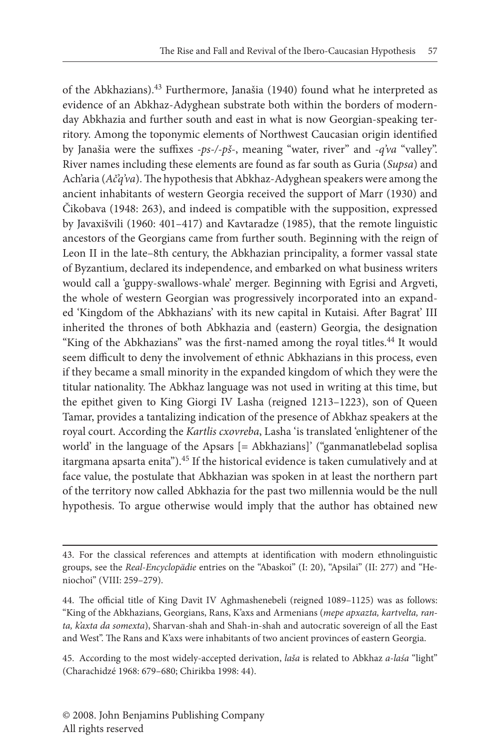of the Abkhazians).43 Furthermore, Janašia (1940) found what he interpreted as evidence of an Abkhaz-Adyghean substrate both within the borders of modernday Abkhazia and further south and east in what is now Georgian-speaking territory. Among the toponymic elements of Northwest Caucasian origin identified by Janašia were the suffixes *-ps-/-pš-*, meaning "water, river" and *-q'va* "valley". River names including these elements are found as far south as Guria (*Supsa*) and Ach'aria (*Ač'q'va*). The hypothesis that Abkhaz-Adyghean speakers were among the ancient inhabitants of western Georgia received the support of Marr (1930) and Čikobava (1948: 263), and indeed is compatible with the supposition, expressed by Javaxišvili (1960: 401–417) and Kavtaradze (1985), that the remote linguistic ancestors of the Georgians came from further south. Beginning with the reign of Leon II in the late–8th century, the Abkhazian principality, a former vassal state of Byzantium, declared its independence, and embarked on what business writers would call a 'guppy-swallows-whale' merger. Beginning with Egrisi and Argveti, the whole of western Georgian was progressively incorporated into an expanded 'Kingdom of the Abkhazians' with its new capital in Kutaisi. After Bagrat' III inherited the thrones of both Abkhazia and (eastern) Georgia, the designation "King of the Abkhazians" was the first-named among the royal titles.<sup>44</sup> It would seem difficult to deny the involvement of ethnic Abkhazians in this process, even if they became a small minority in the expanded kingdom of which they were the titular nationality. The Abkhaz language was not used in writing at this time, but the epithet given to King Giorgi IV Lasha (reigned 1213–1223), son of Queen Tamar, provides a tantalizing indication of the presence of Abkhaz speakers at the royal court. According the *Kartlis cxovreba*, Lasha 'is translated 'enlightener of the world' in the language of the Apsars [= Abkhazians]' ("ganmanatlebelad soplisa itargmana apsarta enita").45 If the historical evidence is taken cumulatively and at face value, the postulate that Abkhazian was spoken in at least the northern part of the territory now called Abkhazia for the past two millennia would be the null hypothesis. To argue otherwise would imply that the author has obtained new

<sup>43.</sup> For the classical references and attempts at identification with modern ethnolinguistic groups, see the *Real-Encyclopädie* entries on the "Abaskoi" (I: 20), "Apsilai" (II: 277) and "Heniochoi" (VIII: 259–279).

<sup>44.</sup> The official title of King Davit IV Aghmashenebeli (reigned 1089–1125) was as follows: "King of the Abkhazians, Georgians, Rans, K'axs and Armenians (*mepe apxazta, kartvelta, ranta, k'axta da somexta*), Sharvan-shah and Shah-in-shah and autocratic sovereign of all the East and West". The Rans and K'axs were inhabitants of two ancient provinces of eastern Georgia.

<sup>45.</sup> According to the most widely-accepted derivation, *laša* is related to Abkhaz *a-laśa* "light" (Charachidzé 1968: 679–680; Chirikba 1998: 44).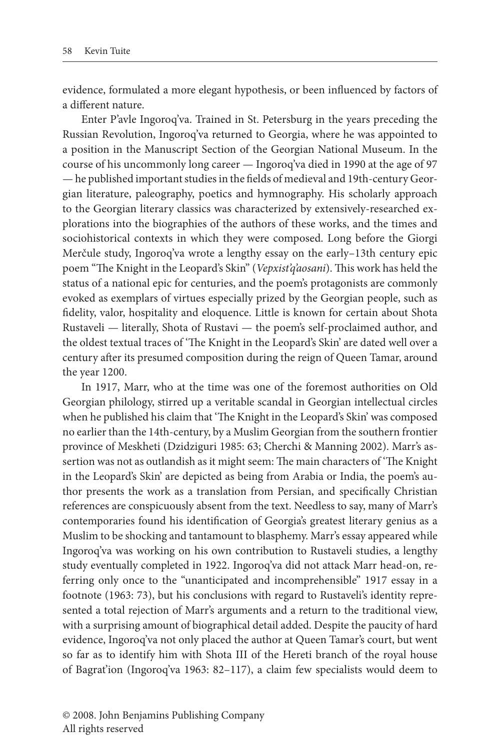evidence, formulated a more elegant hypothesis, or been influenced by factors of a different nature.

Enter P'avle Ingoroq'va. Trained in St. Petersburg in the years preceding the Russian Revolution, Ingoroq'va returned to Georgia, where he was appointed to a position in the Manuscript Section of the Georgian National Museum. In the course of his uncommonly long career — Ingoroq'va died in 1990 at the age of 97 — he published important studies in the fields of medieval and 19th-century Georgian literature, paleography, poetics and hymnography. His scholarly approach to the Georgian literary classics was characterized by extensively-researched explorations into the biographies of the authors of these works, and the times and sociohistorical contexts in which they were composed. Long before the Giorgi Merčule study, Ingoroq'va wrote a lengthy essay on the early–13th century epic poem "The Knight in the Leopard's Skin" (*Vepxist'q'aosani*). This work has held the status of a national epic for centuries, and the poem's protagonists are commonly evoked as exemplars of virtues especially prized by the Georgian people, such as fidelity, valor, hospitality and eloquence. Little is known for certain about Shota Rustaveli — literally, Shota of Rustavi — the poem's self-proclaimed author, and the oldest textual traces of 'The Knight in the Leopard's Skin' are dated well over a century after its presumed composition during the reign of Queen Tamar, around the year 1200.

In 1917, Marr, who at the time was one of the foremost authorities on Old Georgian philology, stirred up a veritable scandal in Georgian intellectual circles when he published his claim that 'The Knight in the Leopard's Skin' was composed no earlier than the 14th-century, by a Muslim Georgian from the southern frontier province of Meskheti (Dzidziguri 1985: 63; Cherchi & Manning 2002). Marr's assertion was not as outlandish as it might seem: The main characters of 'The Knight in the Leopard's Skin' are depicted as being from Arabia or India, the poem's author presents the work as a translation from Persian, and specifically Christian references are conspicuously absent from the text. Needless to say, many of Marr's contemporaries found his identification of Georgia's greatest literary genius as a Muslim to be shocking and tantamount to blasphemy. Marr's essay appeared while Ingoroq'va was working on his own contribution to Rustaveli studies, a lengthy study eventually completed in 1922. Ingoroq'va did not attack Marr head-on, referring only once to the "unanticipated and incomprehensible" 1917 essay in a footnote (1963: 73), but his conclusions with regard to Rustaveli's identity represented a total rejection of Marr's arguments and a return to the traditional view, with a surprising amount of biographical detail added. Despite the paucity of hard evidence, Ingoroq'va not only placed the author at Queen Tamar's court, but went so far as to identify him with Shota III of the Hereti branch of the royal house of Bagrat'ion (Ingoroq'va 1963: 82–117), a claim few specialists would deem to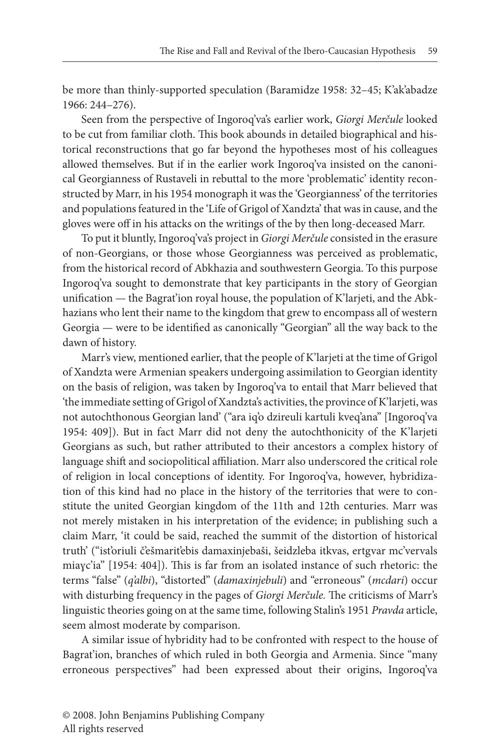be more than thinly-supported speculation (Baramidze 1958: 32–45; K'ak'abadze 1966: 244–276).

Seen from the perspective of Ingoroq'va's earlier work, *Giorgi Merčule* looked to be cut from familiar cloth. This book abounds in detailed biographical and historical reconstructions that go far beyond the hypotheses most of his colleagues allowed themselves. But if in the earlier work Ingoroq'va insisted on the canonical Georgianness of Rustaveli in rebuttal to the more 'problematic' identity reconstructed by Marr, in his 1954 monograph it was the 'Georgianness' of the territories and populations featured in the 'Life of Grigol of Xandzta' that was in cause, and the gloves were off in his attacks on the writings of the by then long-deceased Marr.

To put it bluntly, Ingoroq'va's project in *Giorgi Merčule* consisted in the erasure of non-Georgians, or those whose Georgianness was perceived as problematic, from the historical record of Abkhazia and southwestern Georgia. To this purpose Ingoroq'va sought to demonstrate that key participants in the story of Georgian unification — the Bagrat'ion royal house, the population of K'larjeti, and the Abkhazians who lent their name to the kingdom that grew to encompass all of western Georgia — were to be identified as canonically "Georgian" all the way back to the dawn of history.

Marr's view, mentioned earlier, that the people of K'larjeti at the time of Grigol of Xandzta were Armenian speakers undergoing assimilation to Georgian identity on the basis of religion, was taken by Ingoroq'va to entail that Marr believed that 'the immediate setting of Grigol of Xandzta's activities, the province of K'larjeti, was not autochthonous Georgian land' ("ara iq'o dzireuli kartuli kveq'ana" [Ingoroq'va 1954: 409]). But in fact Marr did not deny the autochthonicity of the K'larjeti Georgians as such, but rather attributed to their ancestors a complex history of language shift and sociopolitical affiliation. Marr also underscored the critical role of religion in local conceptions of identity. For Ingoroq'va, however, hybridization of this kind had no place in the history of the territories that were to constitute the united Georgian kingdom of the 11th and 12th centuries. Marr was not merely mistaken in his interpretation of the evidence; in publishing such a claim Marr, 'it could be said, reached the summit of the distortion of historical truth' ("ist'oriuli č'ešmarit'ebis damaxinjebaši, šeidzleba itkvas, ertgvar mc'vervals miayc'ia" [1954: 404]). This is far from an isolated instance of such rhetoric: the terms "false" (*q'albi*), "distorted" (*damaxinjebuli*) and "erroneous" (*mcdari*) occur with disturbing frequency in the pages of *Giorgi Merčule.* The criticisms of Marr's linguistic theories going on at the same time, following Stalin's 1951 *Pravda* article, seem almost moderate by comparison.

A similar issue of hybridity had to be confronted with respect to the house of Bagrat'ion, branches of which ruled in both Georgia and Armenia. Since "many erroneous perspectives" had been expressed about their origins, Ingoroq'va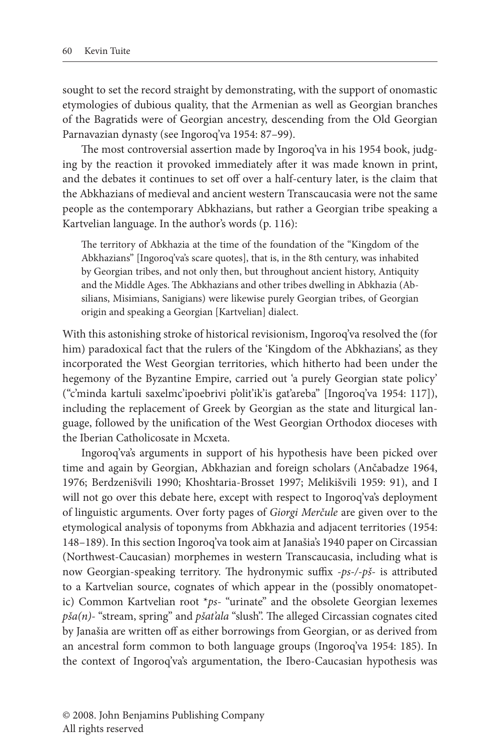sought to set the record straight by demonstrating, with the support of onomastic etymologies of dubious quality, that the Armenian as well as Georgian branches of the Bagratids were of Georgian ancestry, descending from the Old Georgian Parnavazian dynasty (see Ingoroq'va 1954: 87–99).

The most controversial assertion made by Ingoroq'va in his 1954 book, judging by the reaction it provoked immediately after it was made known in print, and the debates it continues to set off over a half-century later, is the claim that the Abkhazians of medieval and ancient western Transcaucasia were not the same people as the contemporary Abkhazians, but rather a Georgian tribe speaking a Kartvelian language. In the author's words (p. 116):

The territory of Abkhazia at the time of the foundation of the "Kingdom of the Abkhazians" [Ingoroq'va's scare quotes], that is, in the 8th century, was inhabited by Georgian tribes, and not only then, but throughout ancient history, Antiquity and the Middle Ages. The Abkhazians and other tribes dwelling in Abkhazia (Absilians, Misimians, Sanigians) were likewise purely Georgian tribes, of Georgian origin and speaking a Georgian [Kartvelian] dialect.

With this astonishing stroke of historical revisionism, Ingoroq'va resolved the (for him) paradoxical fact that the rulers of the 'Kingdom of the Abkhazians', as they incorporated the West Georgian territories, which hitherto had been under the hegemony of the Byzantine Empire, carried out 'a purely Georgian state policy' ("c'minda kartuli saxelmc'ipoebrivi p'olit'ik'is gat'areba" [Ingoroq'va 1954: 117]), including the replacement of Greek by Georgian as the state and liturgical language, followed by the unification of the West Georgian Orthodox dioceses with the Iberian Catholicosate in Mcxeta.

Ingoroq'va's arguments in support of his hypothesis have been picked over time and again by Georgian, Abkhazian and foreign scholars (Ančabadze 1964, 1976; Berdzenišvili 1990; Khoshtaria-Brosset 1997; Melikišvili 1959: 91), and I will not go over this debate here, except with respect to Ingoroq'va's deployment of linguistic arguments. Over forty pages of *Giorgi Merčule* are given over to the etymological analysis of toponyms from Abkhazia and adjacent territories (1954: 148–189). In this section Ingoroq'va took aim at Janašia's 1940 paper on Circassian (Northwest-Caucasian) morphemes in western Transcaucasia, including what is now Georgian-speaking territory. The hydronymic suffix *-ps-/-pš-* is attributed to a Kartvelian source, cognates of which appear in the (possibly onomatopetic) Common Kartvelian root \**ps-* "urinate" and the obsolete Georgian lexemes *pša(n)-* "stream, spring" and *pšat'ala* "slush". The alleged Circassian cognates cited by Janašia are written off as either borrowings from Georgian, or as derived from an ancestral form common to both language groups (Ingoroq'va 1954: 185). In the context of Ingoroq'va's argumentation, the Ibero-Caucasian hypothesis was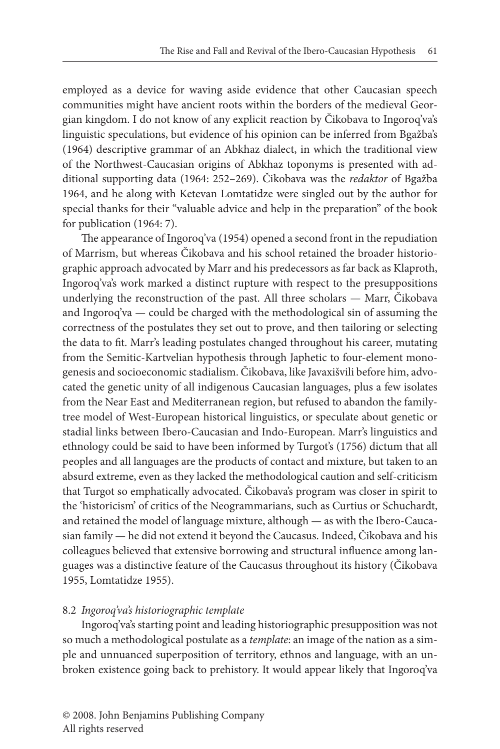employed as a device for waving aside evidence that other Caucasian speech communities might have ancient roots within the borders of the medieval Georgian kingdom. I do not know of any explicit reaction by Čikobava to Ingoroq'va's linguistic speculations, but evidence of his opinion can be inferred from Bgažba's (1964) descriptive grammar of an Abkhaz dialect, in which the traditional view of the Northwest-Caucasian origins of Abkhaz toponyms is presented with additional supporting data (1964: 252–269). Čikobava was the *redaktor* of Bgažba 1964, and he along with Ketevan Lomtatidze were singled out by the author for special thanks for their "valuable advice and help in the preparation" of the book for publication (1964: 7).

The appearance of Ingoroq'va (1954) opened a second front in the repudiation of Marrism, but whereas Čikobava and his school retained the broader historiographic approach advocated by Marr and his predecessors as far back as Klaproth, Ingoroq'va's work marked a distinct rupture with respect to the presuppositions underlying the reconstruction of the past. All three scholars — Marr, Čikobava and Ingoroq'va — could be charged with the methodological sin of assuming the correctness of the postulates they set out to prove, and then tailoring or selecting the data to fit. Marr's leading postulates changed throughout his career, mutating from the Semitic-Kartvelian hypothesis through Japhetic to four-element monogenesis and socioeconomic stadialism. Čikobava, like Javaxišvili before him, advocated the genetic unity of all indigenous Caucasian languages, plus a few isolates from the Near East and Mediterranean region, but refused to abandon the familytree model of West-European historical linguistics, or speculate about genetic or stadial links between Ibero-Caucasian and Indo-European. Marr's linguistics and ethnology could be said to have been informed by Turgot's (1756) dictum that all peoples and all languages are the products of contact and mixture, but taken to an absurd extreme, even as they lacked the methodological caution and self-criticism that Turgot so emphatically advocated. Čikobava's program was closer in spirit to the 'historicism' of critics of the Neogrammarians, such as Curtius or Schuchardt, and retained the model of language mixture, although — as with the Ibero-Caucasian family — he did not extend it beyond the Caucasus. Indeed, Čikobava and his colleagues believed that extensive borrowing and structural influence among languages was a distinctive feature of the Caucasus throughout its history (Čikobava 1955, Lomtatidze 1955).

#### 8.2 *Ingoroq'va's historiographic template*

Ingoroq'va's starting point and leading historiographic presupposition was not so much a methodological postulate as a *template*: an image of the nation as a simple and unnuanced superposition of territory, ethnos and language, with an unbroken existence going back to prehistory. It would appear likely that Ingoroq'va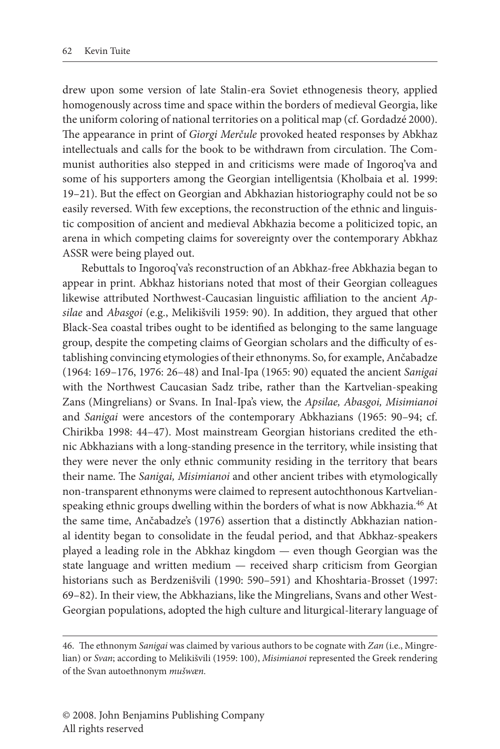drew upon some version of late Stalin-era Soviet ethnogenesis theory, applied homogenously across time and space within the borders of medieval Georgia, like the uniform coloring of national territories on a political map (cf. Gordadzé 2000). The appearance in print of *Giorgi Merčule* provoked heated responses by Abkhaz intellectuals and calls for the book to be withdrawn from circulation. The Communist authorities also stepped in and criticisms were made of Ingoroq'va and some of his supporters among the Georgian intelligentsia (Kholbaia et al. 1999: 19–21). But the effect on Georgian and Abkhazian historiography could not be so easily reversed. With few exceptions, the reconstruction of the ethnic and linguistic composition of ancient and medieval Abkhazia become a politicized topic, an arena in which competing claims for sovereignty over the contemporary Abkhaz ASSR were being played out.

Rebuttals to Ingoroq'va's reconstruction of an Abkhaz-free Abkhazia began to appear in print. Abkhaz historians noted that most of their Georgian colleagues likewise attributed Northwest-Caucasian linguistic affiliation to the ancient *Apsilae* and *Abasgoi* (e.g., Melikišvili 1959: 90). In addition, they argued that other Black-Sea coastal tribes ought to be identified as belonging to the same language group, despite the competing claims of Georgian scholars and the difficulty of establishing convincing etymologies of their ethnonyms. So, for example, Ančabadze (1964: 169–176, 1976: 26–48) and Inal-Ipa (1965: 90) equated the ancient *Sanigai* with the Northwest Caucasian Sadz tribe, rather than the Kartvelian-speaking Zans (Mingrelians) or Svans. In Inal-Ipa's view, the *Apsilae, Abasgoi, Misimianoi*  and *Sanigai* were ancestors of the contemporary Abkhazians (1965: 90–94; cf. Chirikba 1998: 44–47). Most mainstream Georgian historians credited the ethnic Abkhazians with a long-standing presence in the territory, while insisting that they were never the only ethnic community residing in the territory that bears their name. The *Sanigai, Misimianoi* and other ancient tribes with etymologically non-transparent ethnonyms were claimed to represent autochthonous Kartvelianspeaking ethnic groups dwelling within the borders of what is now Abkhazia.<sup>46</sup> At the same time, Ančabadze's (1976) assertion that a distinctly Abkhazian national identity began to consolidate in the feudal period, and that Abkhaz-speakers played a leading role in the Abkhaz kingdom — even though Georgian was the state language and written medium — received sharp criticism from Georgian historians such as Berdzenišvili (1990: 590–591) and Khoshtaria-Brosset (1997: 69–82). In their view, the Abkhazians, like the Mingrelians, Svans and other West-Georgian populations, adopted the high culture and liturgical-literary language of

<sup>46.</sup> The ethnonym *Sanigai* was claimed by various authors to be cognate with *Zan* (i.e., Mingrelian) or *Svan*; according to Melikišvili (1959: 100), *Misimianoi* represented the Greek rendering of the Svan autoethnonym *mušwæn.*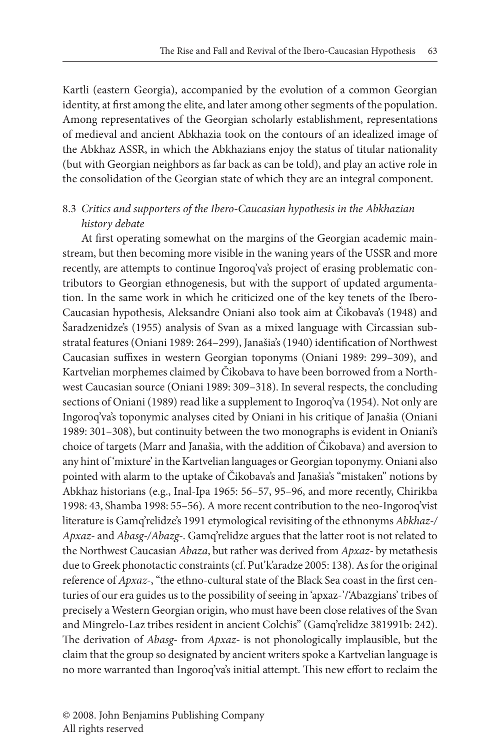Kartli (eastern Georgia), accompanied by the evolution of a common Georgian identity, at first among the elite, and later among other segments of the population. Among representatives of the Georgian scholarly establishment, representations of medieval and ancient Abkhazia took on the contours of an idealized image of the Abkhaz ASSR, in which the Abkhazians enjoy the status of titular nationality (but with Georgian neighbors as far back as can be told), and play an active role in the consolidation of the Georgian state of which they are an integral component.

# 8.3 *Critics and supporters of the Ibero-Caucasian hypothesis in the Abkhazian history debate*

At first operating somewhat on the margins of the Georgian academic mainstream, but then becoming more visible in the waning years of the USSR and more recently, are attempts to continue Ingoroq'va's project of erasing problematic contributors to Georgian ethnogenesis, but with the support of updated argumentation. In the same work in which he criticized one of the key tenets of the Ibero-Caucasian hypothesis, Aleksandre Oniani also took aim at Čikobava's (1948) and Šaradzenidze's (1955) analysis of Svan as a mixed language with Circassian substratal features (Oniani 1989: 264–299), Janašia's (1940) identification of Northwest Caucasian suffixes in western Georgian toponyms (Oniani 1989: 299–309), and Kartvelian morphemes claimed by Čikobava to have been borrowed from a Northwest Caucasian source (Oniani 1989: 309–318). In several respects, the concluding sections of Oniani (1989) read like a supplement to Ingoroq'va (1954). Not only are Ingoroq'va's toponymic analyses cited by Oniani in his critique of Janašia (Oniani 1989: 301–308), but continuity between the two monographs is evident in Oniani's choice of targets (Marr and Janašia, with the addition of Čikobava) and aversion to any hint of 'mixture' in the Kartvelian languages or Georgian toponymy. Oniani also pointed with alarm to the uptake of Čikobava's and Janašia's "mistaken" notions by Abkhaz historians (e.g., Inal-Ipa 1965: 56–57, 95–96, and more recently, Chirikba 1998: 43, Shamba 1998: 55–56). A more recent contribution to the neo-Ingoroq'vist literature is Gamq'relidze's 1991 etymological revisiting of the ethnonyms *Abkhaz-/ Apxaz-* and *Abasg-/Abazg-*. Gamq'relidze argues that the latter root is not related to the Northwest Caucasian *Abaza*, but rather was derived from *Apxaz-* by metathesis due to Greek phonotactic constraints (cf. Put'k'aradze 2005: 138). As for the original reference of *Apxaz-*, "the ethno-cultural state of the Black Sea coast in the first centuries of our era guides us to the possibility of seeing in 'apxaz-'/'Abazgians' tribes of precisely a Western Georgian origin, who must have been close relatives of the Svan and Mingrelo-Laz tribes resident in ancient Colchis" (Gamq'relidze 381991b: 242). The derivation of *Abasg-* from *Apxaz-* is not phonologically implausible, but the claim that the group so designated by ancient writers spoke a Kartvelian language is no more warranted than Ingoroq'va's initial attempt. This new effort to reclaim the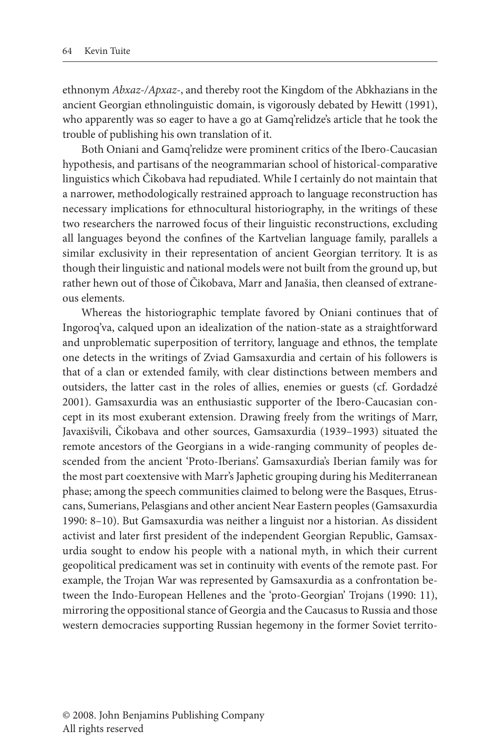ethnonym *Abxaz-/Apxaz-*, and thereby root the Kingdom of the Abkhazians in the ancient Georgian ethnolinguistic domain, is vigorously debated by Hewitt (1991), who apparently was so eager to have a go at Gamq'relidze's article that he took the trouble of publishing his own translation of it.

Both Oniani and Gamq'relidze were prominent critics of the Ibero-Caucasian hypothesis, and partisans of the neogrammarian school of historical-comparative linguistics which Čikobava had repudiated. While I certainly do not maintain that a narrower, methodologically restrained approach to language reconstruction has necessary implications for ethnocultural historiography, in the writings of these two researchers the narrowed focus of their linguistic reconstructions, excluding all languages beyond the confines of the Kartvelian language family, parallels a similar exclusivity in their representation of ancient Georgian territory. It is as though their linguistic and national models were not built from the ground up, but rather hewn out of those of Čikobava, Marr and Janašia, then cleansed of extraneous elements.

Whereas the historiographic template favored by Oniani continues that of Ingoroq'va, calqued upon an idealization of the nation-state as a straightforward and unproblematic superposition of territory, language and ethnos, the template one detects in the writings of Zviad Gamsaxurdia and certain of his followers is that of a clan or extended family, with clear distinctions between members and outsiders, the latter cast in the roles of allies, enemies or guests (cf. Gordadzé 2001). Gamsaxurdia was an enthusiastic supporter of the Ibero-Caucasian concept in its most exuberant extension. Drawing freely from the writings of Marr, Javaxišvili, Čikobava and other sources, Gamsaxurdia (1939–1993) situated the remote ancestors of the Georgians in a wide-ranging community of peoples descended from the ancient 'Proto-Iberians'. Gamsaxurdia's Iberian family was for the most part coextensive with Marr's Japhetic grouping during his Mediterranean phase; among the speech communities claimed to belong were the Basques, Etruscans, Sumerians, Pelasgians and other ancient Near Eastern peoples (Gamsaxurdia 1990: 8–10). But Gamsaxurdia was neither a linguist nor a historian. As dissident activist and later first president of the independent Georgian Republic, Gamsaxurdia sought to endow his people with a national myth, in which their current geopolitical predicament was set in continuity with events of the remote past. For example, the Trojan War was represented by Gamsaxurdia as a confrontation between the Indo-European Hellenes and the 'proto-Georgian' Trojans (1990: 11), mirroring the oppositional stance of Georgia and the Caucasus to Russia and those western democracies supporting Russian hegemony in the former Soviet territo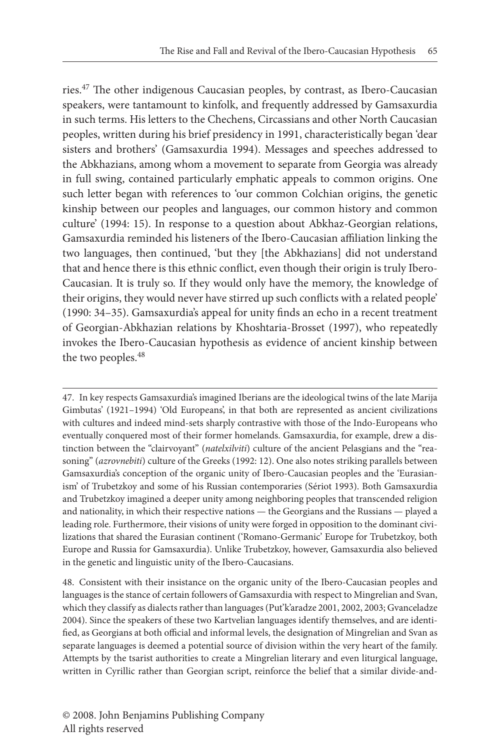ries.47 The other indigenous Caucasian peoples, by contrast, as Ibero-Caucasian speakers, were tantamount to kinfolk, and frequently addressed by Gamsaxurdia in such terms. His letters to the Chechens, Circassians and other North Caucasian peoples, written during his brief presidency in 1991, characteristically began 'dear sisters and brothers' (Gamsaxurdia 1994). Messages and speeches addressed to the Abkhazians, among whom a movement to separate from Georgia was already in full swing, contained particularly emphatic appeals to common origins. One such letter began with references to 'our common Colchian origins, the genetic kinship between our peoples and languages, our common history and common culture' (1994: 15). In response to a question about Abkhaz-Georgian relations, Gamsaxurdia reminded his listeners of the Ibero-Caucasian affiliation linking the two languages, then continued, 'but they [the Abkhazians] did not understand that and hence there is this ethnic conflict, even though their origin is truly Ibero-Caucasian. It is truly so. If they would only have the memory, the knowledge of their origins, they would never have stirred up such conflicts with a related people' (1990: 34–35). Gamsaxurdia's appeal for unity finds an echo in a recent treatment of Georgian-Abkhazian relations by Khoshtaria-Brosset (1997), who repeatedly invokes the Ibero-Caucasian hypothesis as evidence of ancient kinship between the two peoples.<sup>48</sup>

47. In key respects Gamsaxurdia's imagined Iberians are the ideological twins of the late Marija Gimbutas' (1921–1994) 'Old Europeans', in that both are represented as ancient civilizations with cultures and indeed mind-sets sharply contrastive with those of the Indo-Europeans who eventually conquered most of their former homelands. Gamsaxurdia, for example, drew a distinction between the "clairvoyant" (*natelxilviti*) culture of the ancient Pelasgians and the "reasoning" (*azrovnebiti*) culture of the Greeks (1992: 12). One also notes striking parallels between Gamsaxurdia's conception of the organic unity of Ibero-Caucasian peoples and the 'Eurasianism' of Trubetzkoy and some of his Russian contemporaries (Sériot 1993). Both Gamsaxurdia and Trubetzkoy imagined a deeper unity among neighboring peoples that transcended religion and nationality, in which their respective nations — the Georgians and the Russians — played a leading role. Furthermore, their visions of unity were forged in opposition to the dominant civilizations that shared the Eurasian continent ('Romano-Germanic' Europe for Trubetzkoy, both Europe and Russia for Gamsaxurdia). Unlike Trubetzkoy, however, Gamsaxurdia also believed in the genetic and linguistic unity of the Ibero-Caucasians.

48. Consistent with their insistance on the organic unity of the Ibero-Caucasian peoples and languages is the stance of certain followers of Gamsaxurdia with respect to Mingrelian and Svan, which they classify as dialects rather than languages (Put'k'aradze 2001, 2002, 2003; Gvanceladze 2004). Since the speakers of these two Kartvelian languages identify themselves, and are identified, as Georgians at both official and informal levels, the designation of Mingrelian and Svan as separate languages is deemed a potential source of division within the very heart of the family. Attempts by the tsarist authorities to create a Mingrelian literary and even liturgical language, written in Cyrillic rather than Georgian script, reinforce the belief that a similar divide-and-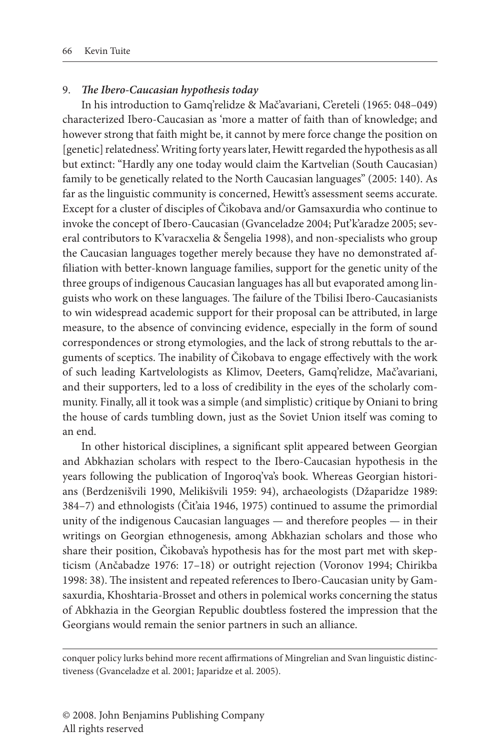#### 9. *The Ibero-Caucasian hypothesis today*

In his introduction to Gamq'relidze & Mač'avariani, C'ereteli (1965: 048–049) characterized Ibero-Caucasian as 'more a matter of faith than of knowledge; and however strong that faith might be, it cannot by mere force change the position on [genetic] relatedness'. Writing forty years later, Hewitt regarded the hypothesis as all but extinct: "Hardly any one today would claim the Kartvelian (South Caucasian) family to be genetically related to the North Caucasian languages" (2005: 140). As far as the linguistic community is concerned, Hewitt's assessment seems accurate. Except for a cluster of disciples of Čikobava and/or Gamsaxurdia who continue to invoke the concept of Ibero-Caucasian (Gvanceladze 2004; Put'k'aradze 2005; several contributors to K'varacxelia & Šengelia 1998), and non-specialists who group the Caucasian languages together merely because they have no demonstrated affiliation with better-known language families, support for the genetic unity of the three groups of indigenous Caucasian languages has all but evaporated among linguists who work on these languages. The failure of the Tbilisi Ibero-Caucasianists to win widespread academic support for their proposal can be attributed, in large measure, to the absence of convincing evidence, especially in the form of sound correspondences or strong etymologies, and the lack of strong rebuttals to the arguments of sceptics. The inability of Čikobava to engage effectively with the work of such leading Kartvelologists as Klimov, Deeters, Gamq'relidze, Mač'avariani, and their supporters, led to a loss of credibility in the eyes of the scholarly community. Finally, all it took was a simple (and simplistic) critique by Oniani to bring the house of cards tumbling down, just as the Soviet Union itself was coming to an end.

In other historical disciplines, a significant split appeared between Georgian and Abkhazian scholars with respect to the Ibero-Caucasian hypothesis in the years following the publication of Ingoroq'va's book. Whereas Georgian historians (Berdzenišvili 1990, Melikišvili 1959: 94), archaeologists (Džaparidze 1989: 384–7) and ethnologists (Čit'aia 1946, 1975) continued to assume the primordial unity of the indigenous Caucasian languages — and therefore peoples — in their writings on Georgian ethnogenesis, among Abkhazian scholars and those who share their position, Čikobava's hypothesis has for the most part met with skepticism (Ančabadze 1976: 17–18) or outright rejection (Voronov 1994; Chirikba 1998: 38). The insistent and repeated references to Ibero-Caucasian unity by Gamsaxurdia, Khoshtaria-Brosset and others in polemical works concerning the status of Abkhazia in the Georgian Republic doubtless fostered the impression that the Georgians would remain the senior partners in such an alliance.

conquer policy lurks behind more recent affirmations of Mingrelian and Svan linguistic distinctiveness (Gvanceladze et al. 2001; Japaridze et al. 2005).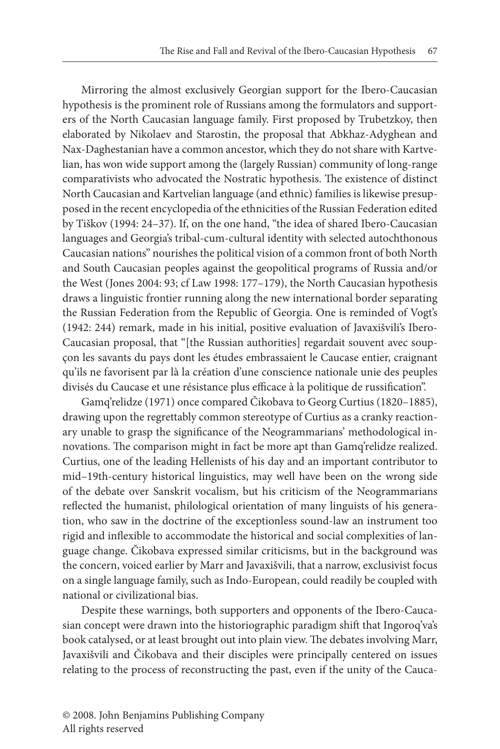Mirroring the almost exclusively Georgian support for the Ibero-Caucasian hypothesis is the prominent role of Russians among the formulators and supporters of the North Caucasian language family. First proposed by Trubetzkoy, then elaborated by Nikolaev and Starostin, the proposal that Abkhaz-Adyghean and Nax-Daghestanian have a common ancestor, which they do not share with Kartvelian, has won wide support among the (largely Russian) community of long-range comparativists who advocated the Nostratic hypothesis. The existence of distinct North Caucasian and Kartvelian language (and ethnic) families is likewise presupposed in the recent encyclopedia of the ethnicities of the Russian Federation edited by Tiškov (1994: 24–37). If, on the one hand, "the idea of shared Ibero-Caucasian languages and Georgia's tribal-cum-cultural identity with selected autochthonous Caucasian nations" nourishes the political vision of a common front of both North and South Caucasian peoples against the geopolitical programs of Russia and/or the West (Jones 2004: 93; cf Law 1998: 177–179), the North Caucasian hypothesis draws a linguistic frontier running along the new international border separating the Russian Federation from the Republic of Georgia. One is reminded of Vogt's (1942: 244) remark, made in his initial, positive evaluation of Javaxišvili's Ibero-Caucasian proposal, that "[the Russian authorities] regardait souvent avec soupçon les savants du pays dont les études embrassaient le Caucase entier, craignant qu'ils ne favorisent par là la création d'une conscience nationale unie des peuples divisés du Caucase et une résistance plus efficace à la politique de russification".

Gamq'relidze (1971) once compared Čikobava to Georg Curtius (1820–1885), drawing upon the regrettably common stereotype of Curtius as a cranky reactionary unable to grasp the significance of the Neogrammarians' methodological innovations. The comparison might in fact be more apt than Gamq'relidze realized. Curtius, one of the leading Hellenists of his day and an important contributor to mid–19th-century historical linguistics, may well have been on the wrong side of the debate over Sanskrit vocalism, but his criticism of the Neogrammarians reflected the humanist, philological orientation of many linguists of his generation, who saw in the doctrine of the exceptionless sound-law an instrument too rigid and inflexible to accommodate the historical and social complexities of language change. Čikobava expressed similar criticisms, but in the background was the concern, voiced earlier by Marr and Javaxišvili, that a narrow, exclusivist focus on a single language family, such as Indo-European, could readily be coupled with national or civilizational bias.

Despite these warnings, both supporters and opponents of the Ibero-Caucasian concept were drawn into the historiographic paradigm shift that Ingoroq'va's book catalysed, or at least brought out into plain view. The debates involving Marr, Javaxišvili and Čikobava and their disciples were principally centered on issues relating to the process of reconstructing the past, even if the unity of the Cauca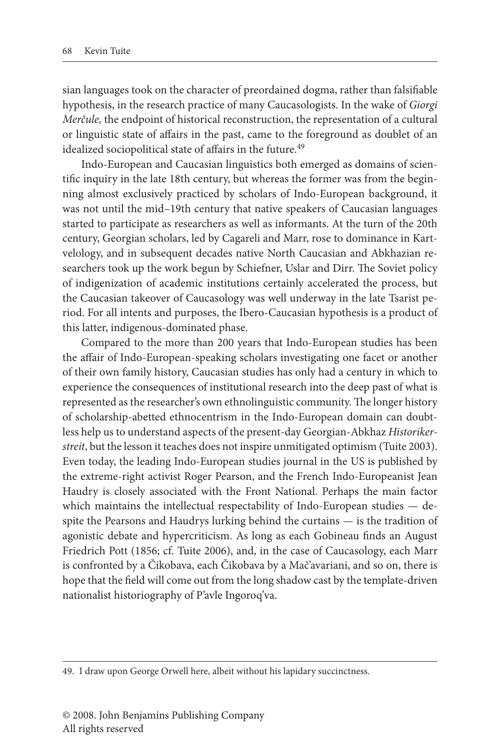sian languages took on the character of preordained dogma, rather than falsifiable hypothesis, in the research practice of many Caucasologists. In the wake of *Giorgi Merčule,* the endpoint of historical reconstruction, the representation of a cultural or linguistic state of affairs in the past, came to the foreground as doublet of an idealized sociopolitical state of affairs in the future.<sup>49</sup>

Indo-European and Caucasian linguistics both emerged as domains of scientific inquiry in the late 18th century, but whereas the former was from the beginning almost exclusively practiced by scholars of Indo-European background, it was not until the mid–19th century that native speakers of Caucasian languages started to participate as researchers as well as informants. At the turn of the 20th century, Georgian scholars, led by Cagareli and Marr, rose to dominance in Kartvelology, and in subsequent decades native North Caucasian and Abkhazian researchers took up the work begun by Schiefner, Uslar and Dirr. The Soviet policy of indigenization of academic institutions certainly accelerated the process, but the Caucasian takeover of Caucasology was well underway in the late Tsarist period. For all intents and purposes, the Ibero-Caucasian hypothesis is a product of this latter, indigenous-dominated phase.

Compared to the more than 200 years that Indo-European studies has been the affair of Indo-European-speaking scholars investigating one facet or another of their own family history, Caucasian studies has only had a century in which to experience the consequences of institutional research into the deep past of what is represented as the researcher's own ethnolinguistic community. The longer history of scholarship-abetted ethnocentrism in the Indo-European domain can doubtless help us to understand aspects of the present-day Georgian-Abkhaz *Historikerstreit*, but the lesson it teaches does not inspire unmitigated optimism (Tuite 2003). Even today, the leading Indo-European studies journal in the US is published by the extreme-right activist Roger Pearson, and the French Indo-Europeanist Jean Haudry is closely associated with the Front National. Perhaps the main factor which maintains the intellectual respectability of Indo-European studies — despite the Pearsons and Haudrys lurking behind the curtains — is the tradition of agonistic debate and hypercriticism. As long as each Gobineau finds an August Friedrich Pott (1856; cf. Tuite 2006), and, in the case of Caucasology, each Marr is confronted by a Čikobava, each Čikobava by a Mač'avariani, and so on, there is hope that the field will come out from the long shadow cast by the template-driven nationalist historiography of P'avle Ingoroq'va.

<sup>49.</sup> I draw upon George Orwell here, albeit without his lapidary succinctness.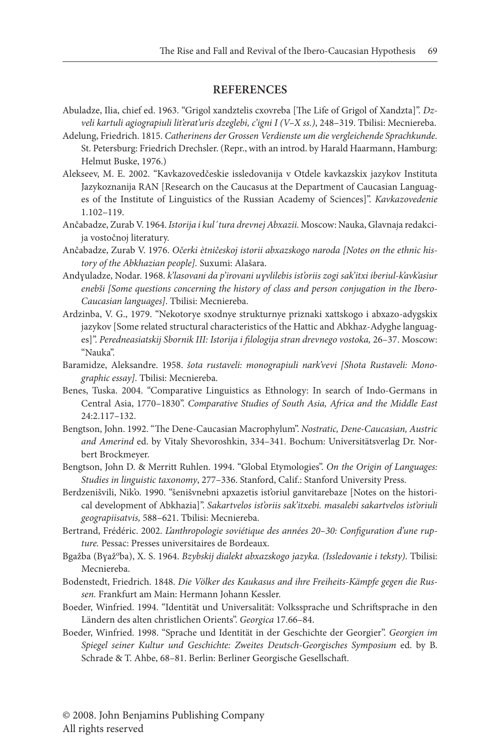#### **References**

- Abuladze, Ilia, chief ed. 1963. "Grigol xandztelis cxovreba [The Life of Grigol of Xandzta]". *Dzveli kartuli agiograpiuli lit'erat'uris dzeglebi, c'igni I (V–X ss.)*, 248–319. Tbilisi: Mecniereba.
- Adelung, Friedrich. 1815. *Catherinens der Grossen Verdienste um die vergleichende Sprachkunde.* St. Petersburg: Friedrich Drechsler. (Repr., with an introd. by Harald Haarmann, Hamburg: Helmut Buske, 1976.)
- Alekseev, M. E. 2002. "Kavkazovedčeskie issledovanija v Otdele kavkazskix jazykov Instituta Jazykoznanija RAN [Research on the Caucasus at the Department of Caucasian Languages of the Institute of Linguistics of the Russian Academy of Sciences]". *Kavkazovedeniе*  1.102–119.
- Ančabadze, Zurab V. 1964. *Istorija i kul´tura drevnej Abxazii.* Moscow: Nauka, Glavnaja redakcija vostočnoj literatury.
- Ančabadze, Zurab V. 1976. *Očerki ètničeskoj istorii abxazskogo naroda [Notes on the ethnic history of the Abkhazian people].* Suxumi: Alašara.
- And>uladze, Nodar. 1968. *k'lasovani da p'irovani u>vlilebis ist'oriis zogi sak'itxi iberiul-k'avk'asiur enebši [Some questions concerning the history of class and person conjugation in the Ibero-Caucasian languages]*. Tbilisi: Mecniereba.
- Ardzinba, V. G., 1979. "Nekotorye sxodnye strukturnye priznaki xattskogo i abxazo-adygskix jazykov [Some related structural characteristics of the Hattic and Abkhaz-Adyghe languages]". Peredneasiatskij Sbornik III: Istorija i filologija stran drevnego vostoka, 26-37. Moscow: "Nauka".
- Baramidze, Aleksandre. 1958. *šota rustaveli: monograpiuli nark'vevi [Shota Rustaveli: Monographic essay]*. Tbilisi: Mecniereba.
- Benes, Tuska. 2004. "Comparative Linguistics as Ethnology: In search of Indo-Germans in Central Asia, 1770–1830". *Comparative Studies of South Asia, Africa and the Middle East* 24:2.117–132.
- Bengtson, John. 1992. "The Dene-Caucasian Macrophylum". *Nostratic, Dene-Caucasian, Austric and Amerind* ed. by Vitaly Shevoroshkin, 334–341. Bochum: Universitätsverlag Dr. Norbert Brockmeyer.
- Bengtson, John D. & Merritt Ruhlen. 1994. "Global Etymologies". *On the Origin of Languages: Studies in linguistic taxonomy*, 277–336. Stanford, Calif.: Stanford University Press.
- Berdzenišvili, Nik'o. 1990. "šenišvnebni apxazetis ist'oriul ganvitarebaze [Notes on the historical development of Abkhazia]". *Sakartvelos ist'oriis sak'itxebi. masalebi sakartvelos ist'oriuli geograpiisatvis,* 588–621. Tbilisi: Mecniereba.
- Bertrand, Frédéric. 2002. *L'anthropologie soviétique des années 20–30: Configuration d'une rupture.* Pessac: Presses universitaires de Bordeaux.
- Bgažba (Byaž<sup>o</sup>ba), X. S. 1964. *Bzybskij dialekt abxazskogo jazyka. (Issledovanie i teksty)*. Tbilisi: Mecniereba.
- Bodenstedt, Friedrich. 1848. *Die Völker des Kaukasus and ihre Freiheits-Kämpfe gegen die Russen.* Frankfurt am Main: Hermann Johann Kessler.
- Boeder, Winfried. 1994. "Identität und Universalität: Volkssprache und Schriftsprache in den Ländern des alten christlichen Orients". *Georgica* 17.66–84.
- Boeder, Winfried. 1998. "Sprache und Identität in der Geschichte der Georgier". *Georgien im Spiegel seiner Kultur und Geschichte: Zweites Deutsch-Georgisches Symposium* ed. by B. Schrade & T. Ahbe, 68–81. Berlin: Berliner Georgische Gesellschaft.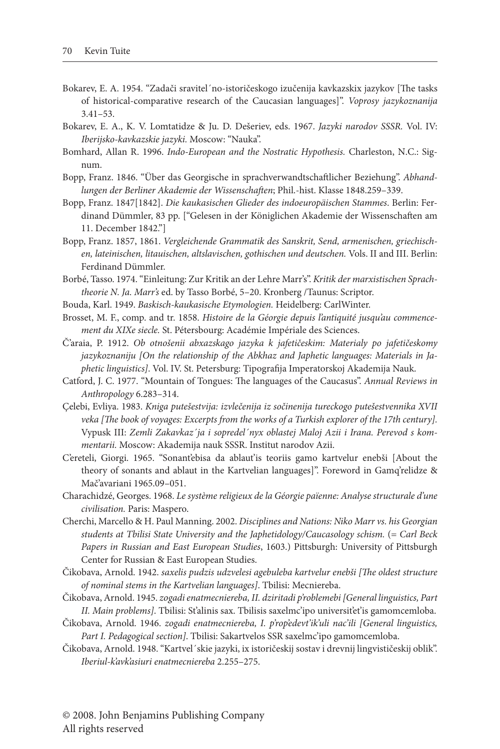- Bokarev, E. A. 1954. "Zadači sravitel´no-istoričeskogo izučenija kavkazskix jazykov [The tasks of historical-comparative research of the Caucasian languages]". *Voprosy jazykoznanija* 3.41–53.
- Bokarev, E. A., K. V. Lomtatidze & Ju. D. Dešeriev, eds. 1967. *Jazyki narodov SSSR.* Vol. IV: *Iberijsko-kavkazskie jazyki.* Moscow: "Nauka".
- Bomhard, Allan R. 1996. *Indo-European and the Nostratic Hypothesis.* Charleston, N.C.: Signum.
- Bopp, Franz. 1846. "Über das Georgische in sprachverwandtschaftlicher Beziehung". *Abhandlungen der Berliner Akademie der Wissenschaften*; Phil.-hist. Klasse 1848.259–339.
- Bopp, Franz. 1847[1842]. *Die kaukasischen Glieder des indoeuropäischen Stammes*. Berlin: Ferdinand Dümmler, 83 pp. ["Gelesen in der Königlichen Akademie der Wissenschaften am 11. December 1842."]
- Bopp, Franz. 1857, 1861. *Vergleichende Grammatik des Sanskrit, Send, armenischen, griechischen, lateinischen, litauischen, altslavischen, gothischen und deutschen.* Vols. II and III. Berlin: Ferdinand Dümmler.
- Borbé, Tasso. 1974. "Einleitung: Zur Kritik an der Lehre Marr's". *Kritik der marxistischen Sprachtheorie N. Ja. Marr's* ed. by Tasso Borbé, 5–20. Kronberg /Taunus: Scriptor.
- Bouda, Karl. 1949. *Baskisch-kaukasische Etymologien.* Heidelberg: CarlWinter.
- Brosset, M. F., comp. and tr. 1858. *Histoire de la Géorgie depuis l'antiquité jusqu'au commencement du XIXe siecle.* St. Pétersbourg: Académie Impériale des Sciences.
- Č'araia, P. 1912. *Ob otnošenii abxazskago jazyka k jafetičeskim: Materialy po jafetičeskomy jazykoznaniju [On the relationship of the Abkhaz and Japhetic languages: Materials in Japhetic linguistics]*. Vol. IV. St. Petersburg: Tipografija Imperatorskoj Akademija Nauk.
- Catford, J. C. 1977. "Mountain of Tongues: The languages of the Caucasus". *Annual Reviews in Anthropology* 6.283–314.
- Çelebi, Evliya. 1983. *Kniga putešestvija: izvlečenija iz sočinenija tureckogo putešestvennika XVII veka [The book of voyages: Excerpts from the works of a Turkish explorer of the 17th century].* Vypusk III: *Zemli Zakavkaz´ja i sopredel´nyx oblastej Maloj Azii i Irana. Perevod s kommentarii.* Moscow: Akademija nauk SSSR. Institut narodov Azii.
- C'ereteli, Giorgi. 1965. "Sonant'ebisa da ablaut'is teoriis gamo kartvelur enebši [About the theory of sonants and ablaut in the Kartvelian languages]". Foreword in Gamq'relidze & Mač'avariani 1965.09–051.
- Charachidzé, Georges. 1968. *Le système religieux de la Géorgie païenne: Analyse structurale d'une civilisation.* Paris: Maspero.
- Cherchi, Marcello & H. Paul Manning. 2002. *Disciplines and Nations: Niko Marr vs. his Georgian students at Tbilisi State University and the Japhetidology/Caucasology schism.* (= *Carl Beck Papers in Russian and East European Studies*, 1603.) Pittsburgh: University of Pittsburgh Center for Russian & East European Studies.
- Čikobava, Arnold. 1942. *saxelis pudzis udzvelesi agebuleba kartvelur enebši [The oldest structure of nominal stems in the Kartvelian languages]*. Tbilisi: Mecniereba.
- Čikobava, Arnold. 1945. *zogadi enatmecniereba, II. dziritadi p'roblemebi [General linguistics, Part*  II. Main problems]. Tbilisi: St'alinis sax. Tbilisis saxelmc'ipo universit'et'is gamomcemloba.
- Čikobava, Arnold. 1946. *zogadi enatmecniereba, I. p'rop'edevt'ik'uli nac'ili [General linguistics, Part I. Pedagogical section]*. Tbilisi: Sakartvelos SSR saxelmc'ipo gamomcemloba.
- Čikobava, Arnold. 1948. "Kartvel´skie jazyki, ix istoričeskij sostav i drevnij lingvističeskij oblik". *Iberiul-k'avk'asiuri enatmecniereba* 2.255–275.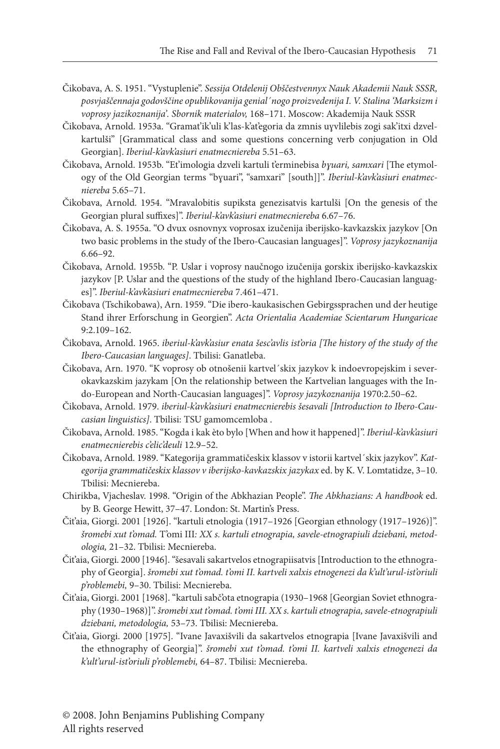- Čikobava, A. S. 1951. "Vystuplenie". *Sessija Otdelenij Obščestvennyx Nauk Akademii Nauk SSSR, posvjaščennaja godovščine opublikovanija genial´nogo proizvedenija I. V. Stalina 'Marksizm i voprosy jazikoznanija'. Sbornik materialov,* 168–171. Moscow: Akademija Nauk SSSR
- Čikobava, Arnold. 1953a. "Gramat'ik'uli k'las-k'at'egoria da zmnis uyvlilebis zogi sak'itxi dzvelkartulši" [Grammatical class and some questions concerning verb conjugation in Old Georgian]. *Iberiul-k'avk'asiuri enatmecniereba* 5.51–63.
- Čikobava, Arnold. 1953b. "Et'imologia dzveli kartuli t'erminebisa *b>uari, samxari* [The etymology of the Old Georgian terms "byuari", "samxari" [south]]". *Iberiul-k'avk'asiuri enatmecniereba* 5.65–71.
- Čikobava, Arnold. 1954. "Mravalobitis supiksta genezisatvis kartulši [On the genesis of the Georgian plural suffixes]". *Iberiul-k'avk'asiuri enatmecniereba* 6.67–76.
- Čikobava, A. S. 1955a. "O dvux osnovnyx voprosax izučenija iberijsko-kavkazskix jazykov [On two basic problems in the study of the Ibero-Caucasian languages]". *Voprosy jazykoznanija* 6.66–92.
- Čikobava, Arnold. 1955b. "P. Uslar i voprosy naučnogo izučenija gorskix iberijsko-kavkazskix jazykov [P. Uslar and the questions of the study of the highland Ibero-Caucasian languages]". *Iberiul-k'avk'asiuri enatmecniereba* 7.461–471.
- Čikobava (Tschikobawa), Arn. 1959. "Die ibero-kaukasischen Gebirgssprachen und der heutige Stand ihrer Erforschung in Georgien". *Acta Orientalia Academiae Scientarum Hungaricae* 9:2.109–162.
- Čikobava, Arnold. 1965. *iberiul-k'avk'asiur enata šesc'avlis ist'oria [The history of the study of the Ibero-Caucasian languages]*. Tbilisi: Ganatleba.
- Čikobava, Arn. 1970. "K voprosy ob otnošenii kartvel´skix jazykov k indoevropejskim i severokavkazskim jazykam [On the relationship between the Kartvelian languages with the Indo-European and North-Caucasian languages]". *Voprosy jazykoznanija* 1970:2.50–62.
- Čikobava, Arnold. 1979. *iberiul-k'avk'asiuri enatmecnierebis šesavali [Introduction to Ibero-Caucasian linguistics]*. Tbilisi: TSU gamomcemloba .
- Čikobava, Arnold. 1985. "Kogda i kak èto bylo [When and how it happened]". *Iberiul-k'avk'asiuri enatmecnierebis c'elic'deuli* 12.9–52.
- Čikobava, Arnold. 1989. "Kategorija grammatičeskix klassov v istorii kartvel´skix jazykov". *Kategorija grammatičeskix klassov v iberijsko-kavkazskix jazykax* ed. by K. V. Lomtatidze, 3–10. Tbilisi: Mecniereba.
- Chirikba, Vjacheslav. 1998. "Origin of the Abkhazian People". *The Abkhazians: A handbook* ed. by B. George Hewitt, 37–47. London: St. Martin's Press.
- Čit'aia, Giorgi. 2001 [1926]. "kartuli etnologia (1917–1926 [Georgian ethnology (1917–1926)]". *šromebi xut t'omad.* T'omi III*: XX s. kartuli etnograpia, savele-etnograpiuli dziebani, metodologia,* 21–32. Tbilisi: Mecniereba.
- Čit'aia, Giorgi. 2000 [1946]. "šesavali sakartvelos etnograpiisatvis [Introduction to the ethnography of Georgia]. *šromebi xut t'omad. t'omi II. kartveli xalxis etnogenezi da k'ult'urul-ist'oriuli p'roblemebi,* 9–30. Tbilisi: Mecniereba.
- Čit'aia, Giorgi. 2001 [1968]. "kartuli sabč'ota etnograpia (1930–1968 [Georgian Soviet ethnography (1930–1968)]". *šromebi xut t'omad. t'omi III. XX s. kartuli etnograpia, savele-etnograpiuli dziebani, metodologia,* 53–73. Tbilisi: Mecniereba.
- Čit'aia, Giorgi. 2000 [1975]. "Ivane Javaxišvili da sakartvelos etnograpia [Ivane Javaxišvili and the ethnography of Georgia]". *šromebi xut t'omad. t'omi II. kartveli xalxis etnogenezi da k'ult'urul-ist'oriuli p'roblemebi,* 64–87. Tbilisi: Mecniereba.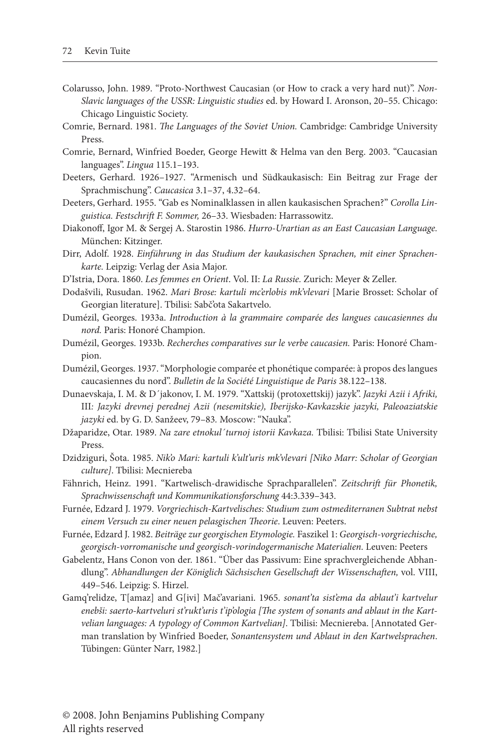- Colarusso, John. 1989. "Proto-Northwest Caucasian (or How to crack a very hard nut)". *Non-Slavic languages of the USSR: Linguistic studies* ed. by Howard I. Aronson, 20–55. Chicago: Chicago Linguistic Society.
- Comrie, Bernard. 1981. *The Languages of the Soviet Union.* Cambridge: Cambridge University Press.
- Comrie, Bernard, Winfried Boeder, George Hewitt & Helma van den Berg. 2003. "Caucasian languages". *Lingua* 115.1–193.
- Deeters, Gerhard. 1926–1927. "Armenisch und Südkaukasisch: Ein Beitrag zur Frage der Sprachmischung". *Caucasica* 3.1–37, 4.32–64.
- Deeters, Gerhard. 1955. "Gab es Nominalklassen in allen kaukasischen Sprachen?" *Corolla Linguistica. Festschrift F. Sommer,* 26–33. Wiesbaden: Harrassowitz.
- Diakonoff, Igor M. & Sergej A. Starostin 1986. *Hurro-Urartian as an East Caucasian Language.*  München: Kitzinger.
- Dirr, Adolf. 1928. *Einführung in das Studium der kaukasischen Sprachen, mit einer Sprachenkarte.* Leipzig: Verlag der Asia Major.
- D'Istria, Dora. 1860. *Les femmes en Orient*. Vol. II: *La Russie.* Zurich: Meyer & Zeller.
- Dodašvili, Rusudan. 1962. *Mari Brose: kartuli mc'erlobis mk'vlevari* [Marie Brosset: Scholar of Georgian literature]. Tbilisi: Sabč'ota Sakartvelo.
- Dumézil, Georges. 1933a. *Introduction à la grammaire comparée des langues caucasiennes du nord.* Paris: Honoré Champion.
- Dumézil, Georges. 1933b. *Recherches comparatives sur le verbe caucasien.* Paris: Honoré Champion.
- Dumézil, Georges. 1937. "Morphologie comparée et phonétique comparée: à propos des langues caucasiennes du nord". *Bulletin de la Société Linguistique de Paris* 38.122–138.
- Dunaevskaja, I. M. & D´jakonov, I. M. 1979. "Xattskij (protoxettskij) jazyk". *Jazyki Azii i Afriki,* III*: Jazyki drevnej perednej Azii (nesemitskie), Iberijsko-Kavkazskie jazyki, Paleoaziatskie jazyki* ed. by G. D. Sanžeev, 79–83*.* Moscow: "Nauka".
- Džaparidze, Otar. 1989. *Na zare etnokul´turnoj istorii Kavkaza.* Tbilisi: Tbilisi State University Press.
- Dzidziguri, Šota. 1985. *Nik'o Mari: kartuli k'ult'uris mk'vlevari [Niko Marr: Scholar of Georgian culture]*. Tbilisi: Mecniereba
- Fähnrich, Heinz. 1991. "Kartwelisch-drawidische Sprachparallelen". *Zeitschrift für Phonetik, Sprachwissenschaft und Kommunikationsforschung* 44:3.339–343.
- Furnée, Edzard J. 1979. *Vorgriechisch-Kartvelisches: Studium zum ostmediterranen Subtrat nebst einem Versuch zu einer neuen pelasgischen Theorie*. Leuven: Peeters.
- Furnée, Edzard J. 1982. *Beiträge zur georgischen Etymologie.* Faszikel 1: *Georgisch-vorgriechische, georgisch-vorromanische und georgisch-vorindogermanische Materialien.* Leuven: Peeters
- Gabelentz, Hans Conon von der. 1861. "Über das Passivum: Eine sprachvergleichende Abhandlung". *Abhandlungen der Königlich Sächsischen Gesellschaft der Wissenschaften,* vol. VIII, 449–546. Leipzig: S. Hirzel.
- Gamq'relidze, T[amaz] and G[ivi] Mač'avariani. 1965. *sonant'ta sist'ema da ablaut'i kartvelur enebši: saerto-kartveluri st'rukt'uris t'ip'ologia [The system of sonants and ablaut in the Kartvelian languages: A typology of Common Kartvelian]*. Tbilisi: Mecniereba. [Annotated German translation by Winfried Boeder, *Sonantensystem und Ablaut in den Kartwelsprachen*. Tübingen: Günter Narr, 1982.]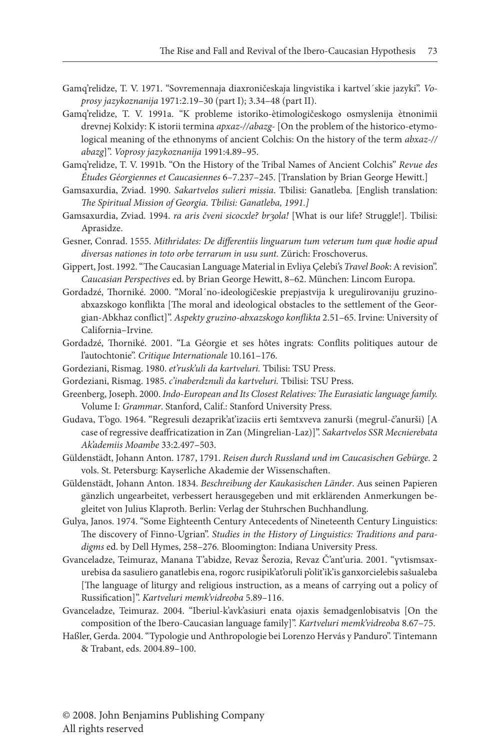- Gamq'relidze, T. V. 1971. "Sovremennaja diaxroničeskaja lingvistika i kartvel´skie jazyki". *Voprosy jazykoznanija* 1971:2.19–30 (part I); 3.34–48 (part II).
- Gamq'relidze, T. V. 1991a. "K probleme istoriko-ètimologičeskogo osmyslenija ètnonimii drevnej Kolxidy: K istorii termina *apxaz-//abazg-* [On the problem of the historico-etymological meaning of the ethnonyms of ancient Colchis: On the history of the term *abxaz-// abazg*]". *Voprosy jazykoznanija* 1991:4.89–95.
- Gamq'relidze, T. V. 1991b. "On the History of the Tribal Names of Ancient Colchis" *Revue des Études Géorgiennes et Caucasiennes* 6–7.237–245. [Translation by Brian George Hewitt.]
- Gamsaxurdia, Zviad. 1990. *Sakartvelos sulieri missia*. Tbilisi: Ganatleba. [English translation: *The Spiritual Mission of Georgia. Tbilisi: Ganatleba, 1991.]*
- Gamsaxurdia, Zviad. 1994. ra aris čveni sicocxle? br<sub>7</sub>ola! [What is our life? Struggle!]. Tbilisi: Aprasidze.
- Gesner, Conrad. 1555. *Mithridates: De differentiis linguarum tum veterum tum quæ hodie apud diversas nationes in toto orbe terrarum in usu sunt.* Zürich: Froschoverus.
- Gippert, Jost. 1992. "The Caucasian Language Material in Evliya Çelebi's *Travel Book*: A revision". *Caucasian Perspectives* ed. by Brian George Hewitt, 8–62. München: Lincom Europa.
- Gordadzé, Thorniké. 2000. "Moral´no-ideologičeskie prepjastvija k uregulirovaniju gruzinoabxazskogo konflikta [The moral and ideological obstacles to the settlement of the Georgian-Abkhaz conflict]". *Aspekty gruzino-abxazskogo konflikta* 2.51–65. Irvine: University of California–Irvine.
- Gordadzé, Thorniké. 2001. "La Géorgie et ses hôtes ingrats: Conflits politiques autour de l'autochtonie". *Critique Internationale* 10.161–176.
- Gordeziani, Rismag. 1980. *et'rusk'uli da kartveluri.* Tbilisi: TSU Press.
- Gordeziani, Rismag. 1985. *c'inaberdznuli da kartveluri.* Tbilisi: TSU Press.
- Greenberg, Joseph. 2000. *Indo-European and Its Closest Relatives: The Eurasiatic language family.*  Volume I*: Grammar*. Stanford, Calif.: Stanford University Press.
- Gudava, T'ogo. 1964. "Regresuli dezaprik'at'izaciis erti šemtxveva zanurši (megrul-č'anurši) [A case of regressive deaffricatization in Zan (Mingrelian-Laz)]". *Sakartvelos SSR Mecnierebata Ak'ademiis Moambe* 33:2.497–503.
- Güldenstädt, Johann Anton. 1787, 1791. *Reisen durch Russland und im Caucasischen Gebürge.* 2 vols. St. Petersburg: Kayserliche Akademie der Wissenschaften.
- Güldenstädt, Johann Anton. 1834. *Beschreibung der Kaukasischen Länder*. Aus seinen Papieren gänzlich ungearbeitet, verbessert herausgegeben und mit erklärenden Anmerkungen begleitet von Julius Klaproth. Berlin: Verlag der Stuhrschen Buchhandlung.
- Gulya, Janos. 1974. "Some Eighteenth Century Antecedents of Nineteenth Century Linguistics: The discovery of Finno-Ugrian". *Studies in the History of Linguistics: Traditions and paradigms* ed. by Dell Hymes, 258–276*.* Bloomington: Indiana University Press.
- Gvanceladze, Teimuraz, Manana T'abidze, Revaz Šerozia, Revaz Č'ant'uria. 2001. "yvtismsaxurebisa da sasuliero ganatlebis ena, rogorc rusipik'at'oruli p'olit'ik'is ganxorcielebis sašualeba [The language of liturgy and religious instruction, as a means of carrying out a policy of Russification]". *Kartveluri memk'vidreoba* 5.89–116.
- Gvanceladze, Teimuraz. 2004. "Iberiul-k'avk'asiuri enata ojaxis šemadgenlobisatvis [On the composition of the Ibero-Caucasian language family]". *Kartveluri memk'vidreoba* 8.67–75.
- Haßler, Gerda. 2004. "Typologie und Anthropologie bei Lorenzo Hervás y Panduro". Tintemann & Trabant, eds. 2004.89–100.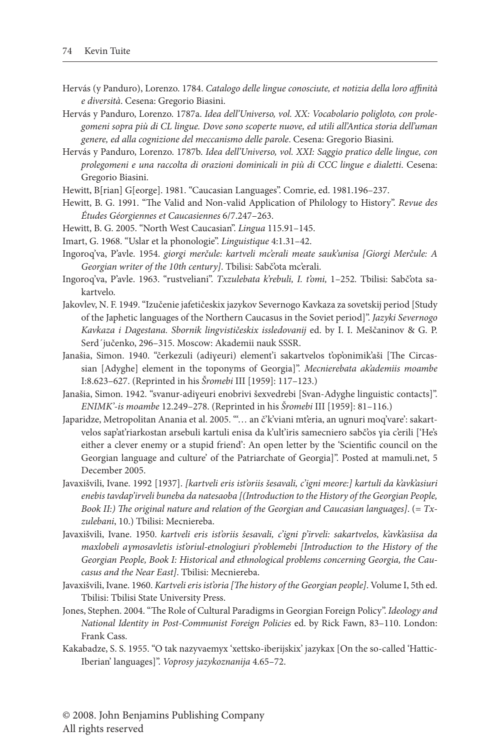- Hervás (y Panduro), Lorenzo. 1784. *Catalogo delle lingue conosciute, et notizia della loro affinità e diversità*. Cesena: Gregorio Biasini.
- Hervás y Panduro, Lorenzo. 1787a. *Idea dell'Universo, vol. XX: Vocabolario poligloto, con prolegomeni sopra più di CL lingue. Dove sono scoperte nuove, ed utili all'Antica storia dell'uman genere, ed alla cognizione del meccanismo delle parole*. Cesena: Gregorio Biasini.
- Hervás y Panduro, Lorenzo. 1787b. *Idea dell'Universo, vol. XXI: Saggio pratico delle lingue, con prolegomeni e una raccolta di orazioni dominicali in più di CCC lingue e dialetti*. Cesena: Gregorio Biasini.
- Hewitt, B[rian] G[eorge]. 1981. "Caucasian Languages". Comrie, ed. 1981.196–237.
- Hewitt, B. G. 1991. "The Valid and Non-valid Application of Philology to History". *Revue des Études Géorgiennes et Caucasiennes* 6/7.247–263.
- Hewitt, B. G. 2005. "North West Caucasian". *Lingua* 115.91–145.
- Imart, G. 1968. "Uslar et la phonologie". *Linguistique* 4:1.31–42.
- Ingoroq'va, P'avle. 1954. *giorgi merčule: kartveli mc'erali meate sauk'unisa [Giorgi Merčule: A Georgian writer of the 10th century]*. Tbilisi: Sabč'ota mc'erali.
- Ingoroq'va, P'avle. 1963. "rustveliani". *Txzulebata k'rebuli, I. t'omi,* 1–252*.* Tbilisi: Sabč'ota sakartvelo.
- Jakovlev, N. F. 1949. "Izučenie jafetičeskix jazykov Severnogo Kavkaza za sovetskij period [Study of the Japhetic languages of the Northern Caucasus in the Soviet period]". *Jazyki Severnogo Kavkaza i Dagestana. Sbornik lingvističeskix issledovanij* ed. by I. I. Meščaninov & G. P. Serd´jučenko, 296–315. Moscow: Akademii nauk SSSR.
- Janašia, Simon. 1940. "čerkezuli (adiyeuri) element'i sakartvelos t'op'onimik'aši [The Circassian [Adyghe] element in the toponyms of Georgia]". *Mecnierebata ak'ademiis moambe* I:8.623–627. (Reprinted in his *Šromebi* III [1959]: 117–123.)
- Janašia, Simon. 1942. "svanur-adiyeuri enobrivi šexvedrebi [Svan-Adyghe linguistic contacts]". *ENIMK'-is moambe* 12.249–278. (Reprinted in his *Šromebi* III [1959]: 81–116.)
- Japaridze, Metropolitan Anania et al. 2005. ""... an č'k'viani mt'eria, an ugnuri moq'vare': sakartvelos sap'at'riarkostan arsebuli kartuli enisa da k'ult'iris samecniero sabč'os yia c'erili ['He's either a clever enemy or a stupid friend': An open letter by the 'Scientific council on the Georgian language and culture' of the Patriarchate of Georgia]". Posted at mamuli.net, 5 December 2005.
- Javaxišvili, Ivane. 1992 [1937]. *[kartveli eris ist'oriis šesavali, c'igni meore:] kartuli da k'avk'asiuri enebis tavdap'irveli buneba da natesaoba [(Introduction to the History of the Georgian People, Book II:) The original nature and relation of the Georgian and Caucasian languages]*. (= *Txzulebani*, 10.) Tbilisi: Mecniereba.
- Javaxišvili, Ivane. 1950. *kartveli eris ist'oriis šesavali, c'igni p'irveli: sakartvelos, k'avk'asiisa da maxlobeli a>mosavletis ist'oriul-etnologiuri p'roblemebi [Introduction to the History of the Georgian People, Book I: Historical and ethnological problems concerning Georgia, the Caucasus and the Near East]*. Tbilisi: Mecniereba.
- Javaxišvili, Ivane. 1960. *Kartveli eris ist'oria [The history of the Georgian people]*. Volume I, 5th ed. Tbilisi: Tbilisi State University Press.
- Jones, Stephen. 2004. "The Role of Cultural Paradigms in Georgian Foreign Policy". *Ideology and National Identity in Post-Communist Foreign Policies* ed. by Rick Fawn, 83–110. London: Frank Cass.
- Kakabadze, S. S. 1955. "O tak nazyvaemyx 'xettsko-iberijskix' jazykax [On the so-called 'Hattic-Iberian' languages]". *Voprosy jazykoznanija* 4.65–72.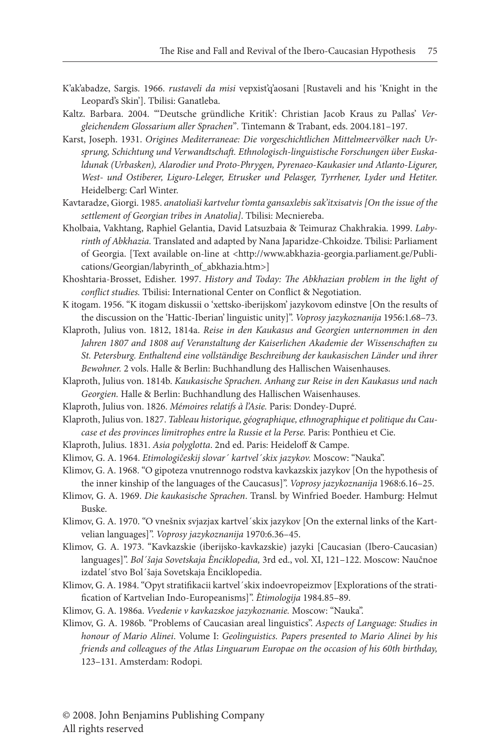- K'ak'abadze, Sargis. 1966. *rustaveli da misi* vepxist'q'aosani [Rustaveli and his 'Knight in the Leopard's Skin']. Tbilisi: Ganatleba.
- Kaltz. Barbara. 2004. "'Deutsche gründliche Kritik': Christian Jacob Kraus zu Pallas' *Vergleichendem Glossarium aller Sprachen*"*.* Tintemann & Trabant, eds. 2004.181–197.
- Karst, Joseph. 1931. *Origines Mediterraneae: Die vorgeschichtlichen Mittelmeervölker nach Ursprung, Schichtung und Verwandtschaft. Ethnologisch-linguistische Forschungen über Euskaldunak (Urbasken), Alarodier und Proto-Phrygen, Pyrenaeo-Kaukasier und Atlanto-Ligurer, West- und Ostiberer, Liguro-Leleger, Etrusker und Pelasger, Tyrrhener, Lyder und Hetiter.*  Heidelberg: Carl Winter.
- Kavtaradze, Giorgi. 1985. *anatoliaši kartvelur t'omta gansaxlebis sak'itxisatvis [On the issue of the settlement of Georgian tribes in Anatolia]*. Tbilisi: Mecniereba.
- Kholbaia, Vakhtang, Raphiel Gelantia, David Latsuzbaia & Teimuraz Chakhrakia. 1999. *Labyrinth of Abkhazia.* Translated and adapted by Nana Japaridze-Chkoidze. Tbilisi: Parliament of Georgia. [Text available on-line at <http://www.abkhazia-georgia.parliament.ge/Publications/Georgian/labyrinth\_of\_abkhazia.htm>]
- Khoshtaria-Brosset, Edisher. 1997. *History and Today: The Abkhazian problem in the light of conflict studies.* Tbilisi: International Center on Conflict & Negotiation.
- K itogam. 1956. "K itogam diskussii o 'xettsko-iberijskom' jazykovom edinstve [On the results of the discussion on the 'Hattic-Iberian' linguistic unity]". *Voprosy jazykoznanija* 1956:1.68–73.
- Klaproth, Julius von. 1812, 1814a. *Reise in den Kaukasus and Georgien unternommen in den Jahren 1807 and 1808 auf Veranstaltung der Kaiserlichen Akademie der Wissenschaften zu St. Petersburg. Enthaltend eine vollständige Beschreibung der kaukasischen Länder und ihrer Bewohner.* 2 vols. Halle & Berlin: Buchhandlung des Hallischen Waisenhauses.
- Klaproth, Julius von. 1814b. *Kaukasische Sprachen. Anhang zur Reise in den Kaukasus und nach Georgien.* Halle & Berlin: Buchhandlung des Hallischen Waisenhauses.
- Klaproth, Julius von. 1826. *Mémoires relatifs à l'Asie.* Paris: Dondey-Dupré.
- Klaproth, Julius von. 1827. *Tableau historique, géographique, ethnographique et politique du Caucase et des provinces limitrophes entre la Russie et la Perse.* Paris: Ponthieu et Cie.
- Klaproth, Julius. 1831. *Asia polyglotta*. 2nd ed. Paris: Heideloff & Campe.
- Klimov, G. A. 1964. *Etimologičeskij slovar´ kartvel´skix jazykov.* Moscow: "Nauka".
- Klimov, G. A. 1968. "O gipoteza vnutrennogo rodstva kavkazskix jazykov [On the hypothesis of the inner kinship of the languages of the Caucasus]". *Voprosy jazykoznanija* 1968:6.16–25.
- Klimov, G. A. 1969. *Die kaukasische Sprachen*. Transl. by Winfried Boeder. Hamburg: Helmut Buske.
- Klimov, G. A. 1970. "O vnešnix svjazjax kartvel´skix jazykov [On the external links of the Kartvelian languages]". *Voprosy jazykoznanija* 1970:6.36–45.
- Klimov, G. A. 1973. "Kavkazskie (iberijsko-kavkazskie) jazyki [Caucasian (Ibero-Caucasian) languages]". *Bol´šaja Sovetskaja Ènciklopedia,* 3rd ed., vol. XI, 121–122. Moscow: Naučnoe izdatel´stvo Bol´šaja Sovetskaja Ènciklopedia.
- Klimov, G. A. 1984. "Opyt stratifikacii kartvel´skix indoevropeizmov [Explorations of the stratification of Kartvelian Indo-Europeanisms]". *Ètimologija* 1984.85–89.
- Klimov, G. A. 1986a. *Vvedenie v kavkazskoe jazykoznanie.* Moscow: "Nauka".
- Klimov, G. A. 1986b. "Problems of Caucasian areal linguistics". *Aspects of Language: Studies in honour of Mario Alinei*. Volume I: *Geolinguistics. Papers presented to Mario Alinei by his friends and colleagues of the Atlas Linguarum Europae on the occasion of his 60th birthday,* 123–131. Amsterdam: Rodopi.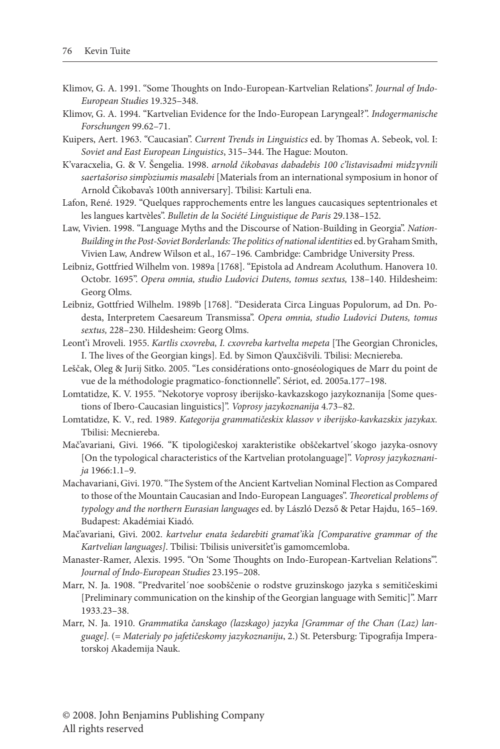- Klimov, G. A. 1991. "Some Thoughts on Indo-European-Kartvelian Relations". *Journal of Indo-European Studies* 19.325–348.
- Klimov, G. A. 1994. "Kartvelian Evidence for the Indo-European Laryngeal?". *Indogermanische Forschungen* 99.62–71.
- Kuipers, Aert. 1963. "Caucasian". *Current Trends in Linguistics* ed. by Thomas A. Sebeok, vol. I: *Soviet and East European Linguistics*, 315–344. The Hague: Mouton.
- K'varacxelia, G. & V. Šengelia. 1998. *arnold čikobavas dabadebis 100 c'listavisadmi midz>vnili saertašoriso simp'oziumis masalebi* [Materials from an international symposium in honor of Arnold Čikobava's 100th anniversary]. Tbilisi: Kartuli ena.
- Lafon, René. 1929. "Quelques rapprochements entre les langues caucasiques septentrionales et les langues kartvèles". *Bulletin de la Société Linguistique de Paris* 29.138–152.
- Law, Vivien. 1998. "Language Myths and the Discourse of Nation-Building in Georgia". *Nation-Building in the Post-Soviet Borderlands: The politics of national identities* ed. by Graham Smith, Vivien Law, Andrew Wilson et al., 167–196*.* Cambridge: Cambridge University Press.
- Leibniz, Gottfried Wilhelm von. 1989a [1768]. "Epistola ad Andream Acoluthum. Hanovera 10. Octobr. 1695". *Opera omnia, studio Ludovici Dutens, tomus sextus,* 138–140. Hildesheim: Georg Olms.
- Leibniz, Gottfried Wilhelm. 1989b [1768]. "Desiderata Circa Linguas Populorum, ad Dn. Podesta, Interpretem Caesareum Transmissa". *Opera omnia, studio Ludovici Dutens, tomus sextus,* 228–230. Hildesheim: Georg Olms.
- Leont'i Mroveli. 1955. *Kartlis cxovreba, I. cxovreba kartvelta mepeta* [The Georgian Chronicles, I. The lives of the Georgian kings]. Ed. by Simon Q'auxčišvili. Tbilisi: Mecniereba.
- Leščak, Oleg & Jurij Sitko. 2005. "Les considérations onto-gnoséologiques de Marr du point de vue de la méthodologie pragmatico-fonctionnelle". Sériot, ed. 2005a.177–198.
- Lomtatidze, K. V. 1955. "Nekotorye voprosy iberijsko-kavkazskogo jazykoznanija [Some questions of Ibero-Caucasian linguistics]". *Voprosy jazykoznanija* 4.73–82.
- Lomtatidze, K. V., red. 1989. *Kategorija grammatičeskix klassov v iberijsko-kavkazskix jazykax.* Tbilisi: Mecniereba.
- Mač'avariani, Givi. 1966. "K tipologičeskoj xarakteristike obščekartvel´skogo jazyka-osnovy [On the typological characteristics of the Kartvelian protolanguage]". *Voprosy jazykoznanija* 1966:1.1–9.
- Machavariani, Givi. 1970. "The System of the Ancient Kartvelian Nominal Flection as Compared to those of the Mountain Caucasian and Indo-European Languages". *Theoretical problems of typology and the northern Eurasian languages* ed. by László Dezső & Petar Hajdu, 165–169. Budapest: Akadémiai Kiadó.
- Mač'avariani, Givi. 2002. *kartvelur enata šedarebiti gramat'ik'a [Comparative grammar of the Kartvelian languages]*. Tbilisi: Tbilisis universit'et'is gamomcemloba.
- Manaster-Ramer, Alexis. 1995. "On 'Some Thoughts on Indo-European-Kartvelian Relations'". *Journal of Indo-European Studies* 23.195–208.
- Marr, N. Ja. 1908. "Predvaritel´noe soobščenie o rodstve gruzinskogo jazyka s semitičeskimi [Preliminary communication on the kinship of the Georgian language with Semitic]". Marr 1933.23–38.
- Marr, N. Ja. 1910. *Grammatika čanskago (lazskago) jazyka [Grammar of the Chan (Laz) language].* (= *Materialy po jafetičeskomy jazykoznaniju*, 2.) St. Petersburg: Tipografija Imperatorskoj Akademija Nauk.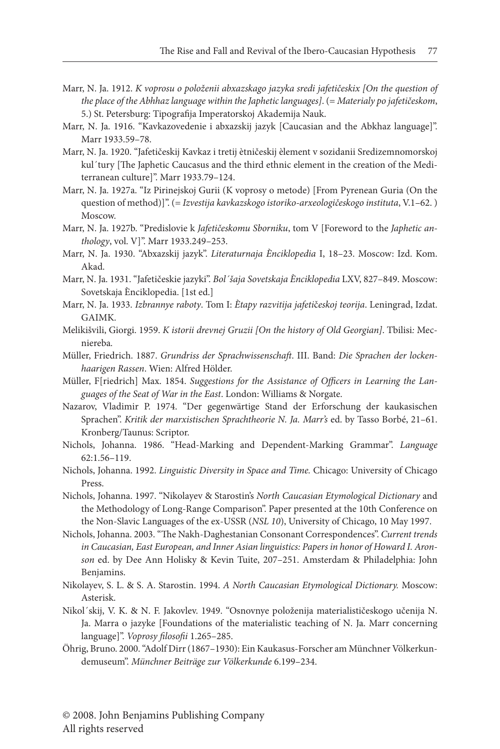- Marr, N. Ja. 1912. *K voprosu o položenii abxazskago jazyka sredi jafetičeskix [On the question of the place of the Abhhaz language within the Japhetic languages]*. (= *Materialy po jafetičeskom*, 5.) St. Petersburg: Tipografija Imperatorskoj Akademija Nauk.
- Marr, N. Ja. 1916. "Kavkazovedenie i abxazskij jazyk [Caucasian and the Abkhaz language]". Marr 1933.59–78.
- Marr, N. Ja. 1920. "Jafetičeskij Kavkaz i tretij ètničeskij èlement v sozidanii Sredizemnomorskoj kul´tury [The Japhetic Caucasus and the third ethnic element in the creation of the Mediterranean culture]". Marr 1933.79–124.
- Marr, N. Ja. 1927a. "Iz Pirinejskoj Gurii (K voprosy o metode) [From Pyrenean Guria (On the question of method)]". (= *Izvestija kavkazskogo istoriko-arxeologičeskogo instituta*, V.1–62. ) Moscow.
- Marr, N. Ja. 1927b. "Predislovie k *Jafetičeskomu Sborniku*, tom V [Foreword to the *Japhetic anthology*, vol. V]". Marr 1933.249–253.
- Marr, N. Ja. 1930. "Abxazskij jazyk". *Literaturnaja Ènciklopedia* I, 18–23. Moscow: Izd. Kom. Akad.
- Marr, N. Ja. 1931. "Jafetičeskie jazyki". *Bol´šaja Sovetskaja Ènciklopedia* LXV, 827–849. Moscow: Sovetskaja Ènciklopedia. [1st ed.]
- Marr, N. Ja. 1933. *Izbrannye raboty*. Tom I: *Ètapy razvitija jafeti*č*eskoj teorija*. Leningrad, Izdat. GAIMK.
- Melikišvili, Giorgi. 1959. *K istorii drevnej Gruzii [On the history of Old Georgian]*. Tbilisi*:* Mecniereba*.*
- Müller, Friedrich. 1887. *Grundriss der Sprachwissenschaft*. III. Band: *Die Sprachen der lockenhaarigen Rassen*. Wien: Alfred Hölder.
- Müller, F[riedrich] Max. 1854. *Suggestions for the Assistance of Officers in Learning the Languages of the Seat of War in the East*. London: Williams & Norgate.
- Nazarov, Vladimir P. 1974. "Der gegenwärtige Stand der Erforschung der kaukasischen Sprachen". *Kritik der marxistischen Sprachtheorie N. Ja. Marr's* ed. by Tasso Borbé, 21–61. Kronberg/Taunus: Scriptor.
- Nichols, Johanna. 1986. "Head-Marking and Dependent-Marking Grammar". *Language* 62:1.56–119.
- Nichols, Johanna. 1992. *Linguistic Diversity in Space and Time.* Chicago: University of Chicago Press.
- Nichols, Johanna. 1997. "Nikolayev & Starostin's *North Caucasian Etymological Dictionary* and the Methodology of Long-Range Comparison". Paper presented at the 10th Conference on the Non-Slavic Languages of the ex-USSR (*NSL 10*), University of Chicago, 10 May 1997.
- Nichols, Johanna. 2003. "The Nakh-Daghestanian Consonant Correspondences". *Current trends in Caucasian, East European, and Inner Asian linguistics: Papers in honor of Howard I. Aronson* ed. by Dee Ann Holisky & Kevin Tuite, 207–251. Amsterdam & Philadelphia: John Benjamins.
- Nikolayev, S. L. & S. A. Starostin. 1994. *A North Caucasian Etymological Dictionary.* Moscow: Asterisk.
- Nikol´skij, V. K. & N. F. Jakovlev. 1949. "Osnovnye položenija materialističeskogo učenija N. Ja. Marra o jazyke [Foundations of the materialistic teaching of N. Ja. Marr concerning language]". *Voprosy filosofii* 1.265–285.
- Öhrig, Bruno. 2000. "Adolf Dirr (1867–1930): Ein Kaukasus-Forscher am Münchner Völkerkundemuseum". *Münchner Beiträge zur Völkerkunde* 6.199–234.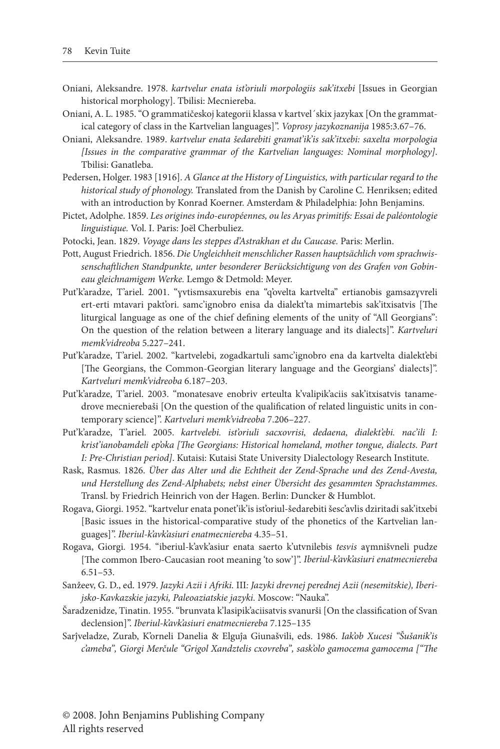- Oniani, Aleksandre. 1978. *kartvelur enata ist'oriuli morpologiis sak'itxebi* [Issues in Georgian historical morphology]. Tbilisi: Mecniereba.
- Oniani, A. L. 1985. "O grammatičeskoj kategorii klassa v kartvel´skix jazykax [On the grammatical category of class in the Kartvelian languages]". *Voprosy jazykoznanija* 1985:3.67–76.
- Oniani, Aleksandre. 1989. *kartvelur enata šedarebiti gramat'ik'is sak'itxebi: saxelta morpologia [Issues in the comparative grammar of the Kartvelian languages: Nominal morphology]*. Tbilisi: Ganatleba.
- Pedersen, Holger. 1983 [1916]. *A Glance at the History of Linguistics, with particular regard to the historical study of phonology.* Translated from the Danish by Caroline C. Henriksen; edited with an introduction by Konrad Koerner. Amsterdam & Philadelphia: John Benjamins.
- Pictet, Adolphe. 1859. *Les origines indo-européennes, ou les Aryas primitifs: Essai de paléontologie linguistique.* Vol. I. Paris: Joël Cherbuliez.
- Potocki, Jean. 1829. *Voyage dans les steppes d'Astrakhan et du Caucase.* Paris: Merlin.
- Pott, August Friedrich. 1856. *Die Ungleichheit menschlicher Rassen hauptsächlich vom sprachwissenschaftlichen Standpunkte, unter besonderer Berücksichtigung von des Grafen von Gobineau gleichnamigem Werke.* Lemgo & Detmold: Meyer.
- Put'k'aradze, T'ariel. 2001. "yvtismsaxurebis ena "q'ovelta kartvelta" ertianobis gamsazyvreli ert-erti mtavari pakt'ori. samc'ignobro enisa da dialekt'ta mimartebis sak'itxisatvis [The liturgical language as one of the chief defining elements of the unity of "All Georgians": On the question of the relation between a literary language and its dialects]". *Kartveluri memk'vidreoba* 5.227–241.
- Put'k'aradze, T'ariel. 2002. "kartvelebi, zogadkartuli samc'ignobro ena da kartvelta dialekt'ebi [The Georgians, the Common-Georgian literary language and the Georgians' dialects]". *Kartveluri memk'vidreoba* 6.187–203.
- Put'k'aradze, T'ariel. 2003. "monatesave enobriv erteulta k'valipik'aciis sak'itxisatvis tanamedrove mecnierebaši [On the question of the qualification of related linguistic units in contemporary science]". *Kartveluri memk'vidreoba* 7.206–227.
- Put'k'aradze, T'ariel. 2005. *kartvelebi. ist'oriuli sacxovrisi, dedaena, dialekt'ebi. nac'ili I: krist'ianobamdeli ep'oka [The Georgians: Historical homeland, mother tongue, dialects. Part I: Pre-Christian period]*. Kutaisi: Kutaisi State University Dialectology Research Institute.
- Rask, Rasmus. 1826. *Über das Alter und die Echtheit der Zend-Sprache und des Zend-Avesta, und Herstellung des Zend-Alphabets; nebst einer Übersicht des gesammten Sprachstammes*. Transl. by Friedrich Heinrich von der Hagen. Berlin: Duncker & Humblot.
- Rogava, Giorgi. 1952. "kartvelur enata ponet'ik'is ist'oriul-šedarebiti šesc'avlis dziritadi sak'itxebi [Basic issues in the historical-comparative study of the phonetics of the Kartvelian languages]". *Iberiul-k'avk'asiuri enatmecniereba* 4.35–51.
- Rogava, Giorgi. 1954. "iberiul-k'avk'asiur enata saerto k'utvnilebis tesvis aymnišvneli pudze [The common Ibero-Caucasian root meaning 'to sow']". *Iberiul-k'avk'asiuri enatmecniereba*  6.51–53.
- Sanžeev, G. D., ed. 1979. *Jazyki Azii i Afriki.* III*: Jazyki drevnej perednej Azii (nesemitskie), Iberijsko-Kavkazskie jazyki, Paleoaziatskie jazyki.* Moscow: "Nauka".
- Šaradzenidze, Tinatin. 1955. "brunvata k'lasipik'aciisatvis svanurši [On the classification of Svan declension]". *Iberiul-k'avk'asiuri enatmecniereba* 7.125–135
- Sarĵveladze, Zurab, K'orneli Danelia & Elguĵa Giunašvili, eds. 1986. *Iak'ob Xucesi "Šušanik'is c'ameba", Giorgi Merčule "Grigol Xandztelis cxovreba", sask'olo gamocema gamocema ["The*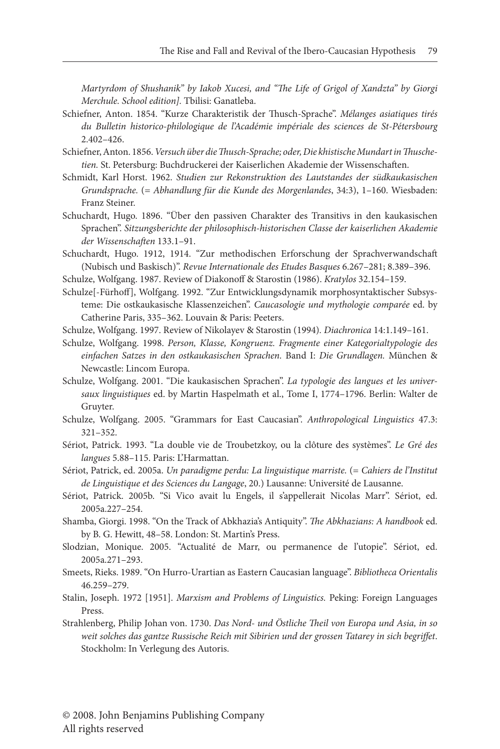*Martyrdom of Shushanik" by Iakob Xucesi, and "The Life of Grigol of Xandzta" by Giorgi Merchule. School edition].* Tbilisi: Ganatleba.

- Schiefner, Anton. 1854. "Kurze Charakteristik der Thusch-Sprache". *Mélanges asiatiques tirés du Bulletin historico-philologique de l'Académie impériale des sciences de St-Pétersbourg* 2.402–426.
- Schiefner, Anton. 1856. *Versuch über die Thusch-Sprache; oder, Die khistische Mundart in Thuschetien.* St. Petersburg: Buchdruckerei der Kaiserlichen Akademie der Wissenschaften.
- Schmidt, Karl Horst. 1962. *Studien zur Rekonstruktion des Lautstandes der südkaukasischen Grundsprache.* (= *Abhandlung für die Kunde des Morgenlandes*, 34:3), 1–160. Wiesbaden: Franz Steiner.
- Schuchardt, Hugo. 1896. "Über den passiven Charakter des Transitivs in den kaukasischen Sprachen". *Sitzungsberichte der philosophisch-historischen Classe der kaiserlichen Akademie der Wissenschaften* 133.1–91.
- Schuchardt, Hugo. 1912, 1914. "Zur methodischen Erforschung der Sprachverwandschaft (Nubisch und Baskisch)". *Revue Internationale des Etudes Basques* 6.267–281; 8.389–396.
- Schulze, Wolfgang. 1987. Review of Diakonoff & Starostin (1986). *Kratylos* 32.154–159.
- Schulze[-Fürhoff], Wolfgang. 1992. "Zur Entwicklungsdynamik morphosyntaktischer Subsysteme: Die ostkaukasische Klassenzeichen". *Caucasologie und mythologie comparée* ed. by Catherine Paris, 335–362. Louvain & Paris: Peeters.
- Schulze, Wolfgang. 1997. Review of Nikolayev & Starostin (1994)*. Diachronica* 14:1.149–161.
- Schulze, Wolfgang. 1998. *Person, Klasse, Kongruenz. Fragmente einer Kategorialtypologie des einfachen Satzes in den ostkaukasischen Sprachen.* Band I: *Die Grundlagen.* München & Newcastle: Lincom Europa.
- Schulze, Wolfgang. 2001. "Die kaukasischen Sprachen". *La typologie des langues et les universaux linguistiques* ed. by Martin Haspelmath et al., Tome I, 1774–1796. Berlin: Walter de Gruyter.
- Schulze, Wolfgang. 2005. "Grammars for East Caucasian". *Anthropological Linguistics* 47.3: 321–352.
- Sériot, Patrick. 1993. "La double vie de Troubetzkoy, ou la clôture des systèmes". *Le Gré des langues* 5.88–115. Paris: L'Harmattan.
- Sériot, Patrick, ed. 2005a. *Un paradigme perdu: La linguistique marriste.* (= *Cahiers de l'Institut de Linguistique et des Sciences du Langage*, 20.) Lausanne: Université de Lausanne.
- Sériot, Patrick. 2005b. "Si Vico avait lu Engels, il s'appellerait Nicolas Marr". Sériot, ed. 2005a.227–254.
- Shamba, Giorgi. 1998. "On the Track of Abkhazia's Antiquity". *The Abkhazians: A handbook* ed. by B. G. Hewitt, 48–58. London: St. Martin's Press.
- Slodzian, Monique. 2005. "Actualité de Marr, ou permanence de l'utopie". Sériot, ed. 2005a.271–293.
- Smeets, Rieks. 1989. "On Hurro-Urartian as Eastern Caucasian language". *Bibliotheca Orientalis* 46.259–279.
- Stalin, Joseph. 1972 [1951]. *Marxism and Problems of Linguistics.* Peking: Foreign Languages Press.
- Strahlenberg, Philip Johan von. 1730. *Das Nord- und Östliche Theil von Europa und Asia, in so weit solches das gantze Russische Reich mit Sibirien und der grossen Tatarey in sich begriffet*. Stockholm: In Verlegung des Autoris.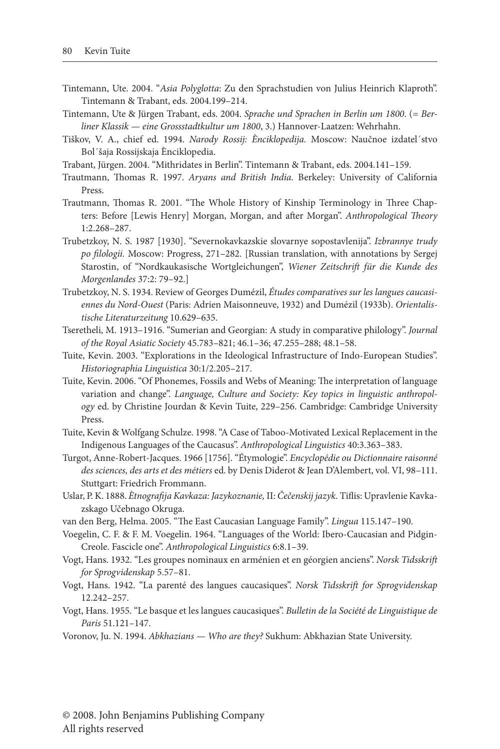- Tintemann, Ute. 2004. "*Asia Polyglotta*: Zu den Sprachstudien von Julius Heinrich Klaproth". Tintemann & Trabant, eds. 2004.199–214.
- Tintemann, Ute & Jürgen Trabant, eds. 2004. *Sprache und Sprachen in Berlin um 1800*. (= *Berliner Klassik — eine Grossstadtkultur um 1800*, 3.) Hannover-Laatzen: Wehrhahn.
- Tiškov, V. A., chief ed. 1994. *Narody Rossij: Ènciklopedija.* Moscow: Naučnoe izdatel´stvo Bol´šaja Rossijskaja Ènciklopedia.
- Trabant, Jürgen. 2004. "Mithridates in Berlin". Tintemann & Trabant, eds. 2004.141–159.
- Trautmann, Thomas R. 1997. *Aryans and British India.* Berkeley: University of California Press.
- Trautmann, Thomas R. 2001. "The Whole History of Kinship Terminology in Three Chapters: Before [Lewis Henry] Morgan, Morgan, and after Morgan". *Anthropological Theory* 1:2.268–287.
- Trubetzkoy, N. S. 1987 [1930]. "Severnokavkazskie slovarnye sopostavlenija". *Izbrannye trudy po filologii.* Moscow: Progress, 271–282. [Russian translation, with annotations by Sergej Starostin, of "Nordkaukasische Wortgleichungen", *Wiener Zeitschrift für die Kunde des Morgenlandes* 37:2: 79–92.]
- Trubetzkoy, N. S. 1934. Review of Georges Dumézil, *Études comparatives sur les langues caucasiennes du Nord-Ouest* (Paris: Adrien Maisonneuve, 1932) and Dumézil (1933b). *Orientalistische Literaturzeitung* 10.629–635.
- Tseretheli, М. 1913–1916. "Sumerian and Georgian: A study in comparative philology". *Journal of the Royal Asiatic Society* 45.783–821; 46.1–36; 47.255–288; 48.1–58.
- Tuite, Kevin. 2003. "Explorations in the Ideological Infrastructure of Indo-European Studies". *Historiographia Linguistica* 30:1/2.205–217.
- Tuite, Kevin. 2006. "Of Phonemes, Fossils and Webs of Meaning: The interpretation of language variation and change". *Language, Culture and Society: Key topics in linguistic anthropology* ed. by Christine Jourdan & Kevin Tuite, 229–256. Cambridge: Cambridge University Press.
- Tuite, Kevin & Wolfgang Schulze. 1998. "A Case of Taboo-Motivated Lexical Replacement in the Indigenous Languages of the Caucasus". *Anthropological Linguistics* 40:3.363–383.
- Turgot, Anne-Robert-Jacques. 1966 [1756]. "Étymologie". *Encyclopédie ou Dictionnaire raisonné des sciences, des arts et des métiers* ed. by Denis Diderot & Jean D'Alembert, vol. VI, 98–111. Stuttgart: Friedrich Frommann.
- Uslar, P. K. 1888. *Ètnografija Kavkaza: Jazykoznanie,* II: *Čečenskij jazyk.* Tiflis: Upravlenie Kavkazskago Učebnago Okruga.
- van den Berg, Helma. 2005. "The East Caucasian Language Family". *Lingua* 115.147–190.
- Voegelin, C. F. & F. M. Voegelin. 1964. "Languages of the World: Ibero-Caucasian and Pidgin-Creole. Fascicle one". *Anthropological Linguistics* 6:8.1–39.
- Vogt, Hans. 1932. "Les groupes nominaux en arménien et en géorgien anciens". *Norsk Tidsskrift for Sprogvidenskap* 5.57–81.
- Vogt, Hans. 1942. "La parenté des langues caucasiques". *Norsk Tidsskrift for Sprogvidenskap* 12.242–257.
- Vogt, Hans. 1955. "Le basque et les langues caucasiques". *Bulletin de la Société de Linguistique de Paris* 51.121–147.
- Voronov, Ju. N. 1994. *Abkhazians Who are they?* Sukhum: Abkhazian State University.